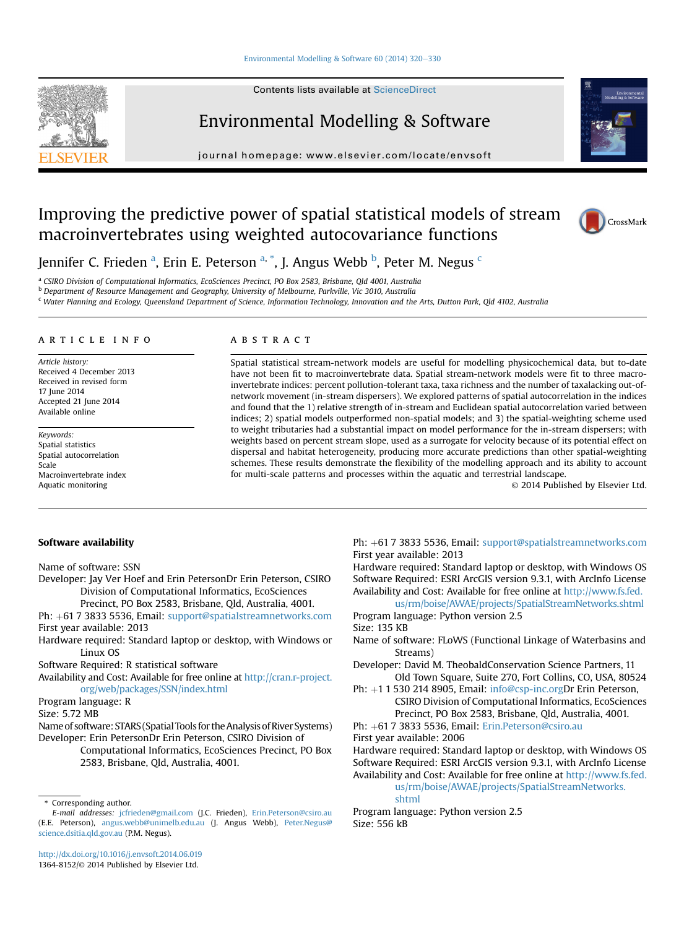# [Environmental Modelling & Software 60 \(2014\) 320](http://dx.doi.org/10.1016/j.envsoft.2014.06.019)-[330](http://dx.doi.org/10.1016/j.envsoft.2014.06.019)

Contents lists available at ScienceDirect

Environmental Modelling & Software



journal homepage: [www.elsevier.com/locate/envsoft](http://www.elsevier.com/locate/envsoft)

# Improving the predictive power of spatial statistical models of stream macroinvertebrates using weighted autocovariance functions



Jennifer C. Frieden <sup>a</sup>, Erin E. Peterson <sup>a, \*</sup>, J. Angus Webb <sup>b</sup>, Peter M. Negus <sup>c</sup>

<sup>a</sup> CSIRO Division of Computational Informatics, EcoSciences Precinct, PO Box 2583, Brisbane, Qld 4001, Australia

**b Department of Resource Management and Geography, University of Melbourne, Parkville, Vic 3010, Australia** 

<sup>c</sup> Water Planning and Ecology, Queensland Department of Science, Information Technology, Innovation and the Arts, Dutton Park, Qld 4102, Australia

# article info

Article history: Received 4 December 2013 Received in revised form 17 June 2014 Accepted 21 June 2014 Available online

Keywords: Spatial statistics Spatial autocorrelation Scale Macroinvertebrate index Aquatic monitoring

# **ABSTRACT**

Spatial statistical stream-network models are useful for modelling physicochemical data, but to-date have not been fit to macroinvertebrate data. Spatial stream-network models were fit to three macroinvertebrate indices: percent pollution-tolerant taxa, taxa richness and the number of taxalacking out-ofnetwork movement (in-stream dispersers). We explored patterns of spatial autocorrelation in the indices and found that the 1) relative strength of in-stream and Euclidean spatial autocorrelation varied between indices; 2) spatial models outperformed non-spatial models; and 3) the spatial-weighting scheme used to weight tributaries had a substantial impact on model performance for the in-stream dispersers; with weights based on percent stream slope, used as a surrogate for velocity because of its potential effect on dispersal and habitat heterogeneity, producing more accurate predictions than other spatial-weighting schemes. These results demonstrate the flexibility of the modelling approach and its ability to account for multi-scale patterns and processes within the aquatic and terrestrial landscape.

© 2014 Published by Elsevier Ltd.

# Software availability

Name of software: SSN

- Developer: Jay Ver Hoef and Erin PetersonDr Erin Peterson, CSIRO Division of Computational Informatics, EcoSciences
	- Precinct, PO Box 2583, Brisbane, Qld, Australia, 4001.
- Ph: +61 7 3833 5536, Email: [support@spatialstreamnetworks.com](mailto:support@spatialstreamnetworks.com) First year available: 2013
- Hardware required: Standard laptop or desktop, with Windows or Linux OS
- Software Required: R statistical software

Availability and Cost: Available for free online at [http://cran.r-project.](http://cran.r-project.org/web/packages/SSN/index.html) [org/web/packages/SSN/index.html](http://cran.r-project.org/web/packages/SSN/index.html)

Program language: R

Size: 5.72 MB

Name of software: STARS (Spatial Tools for theAnalysis of River Systems) Developer: Erin PetersonDr Erin Peterson, CSIRO Division of

Computational Informatics, EcoSciences Precinct, PO Box 2583, Brisbane, Qld, Australia, 4001.

\* Corresponding author.

Ph: +61 7 3833 5536, Email: [support@spatialstreamnetworks.com](mailto:support@spatialstreamnetworks.com) First year available: 2013

Hardware required: Standard laptop or desktop, with Windows OS Software Required: ESRI ArcGIS version 9.3.1, with ArcInfo License Availability and Cost: Available for free online at [http://www.fs.fed.](http://www.fs.fed.us/rm/boise/AWAE/projects/SpatialStreamNetworks.shtml)

[us/rm/boise/AWAE/projects/SpatialStreamNetworks.shtml](http://www.fs.fed.us/rm/boise/AWAE/projects/SpatialStreamNetworks.shtml) Program language: Python version 2.5

Size: 135 KB

- Name of software: FLoWS (Functional Linkage of Waterbasins and Streams)
- Developer: David M. TheobaldConservation Science Partners, 11 Old Town Square, Suite 270, Fort Collins, CO, USA, 80524
- Ph: +1 1 530 214 8905, Email: [info@csp-inc.orgD](mailto:info@csp-inc.org)r Erin Peterson, CSIRO Division of Computational Informatics, EcoSciences Precinct, PO Box 2583, Brisbane, Qld, Australia, 4001.
- Ph: +61 7 3833 5536, Email: [Erin.Peterson@csiro.au](mailto:Erin.Peterson@csiro.au)
- First year available: 2006

Hardware required: Standard laptop or desktop, with Windows OS Software Required: ESRI ArcGIS version 9.3.1, with ArcInfo License Availability and Cost: Available for free online at [http://www.fs.fed.](http://www.fs.fed.us/rm/boise/AWAE/projects/SpatialStreamNetworks.shtml)

[us/rm/boise/AWAE/projects/SpatialStreamNetworks.](http://www.fs.fed.us/rm/boise/AWAE/projects/SpatialStreamNetworks.shtml)

[shtml](http://www.fs.fed.us/rm/boise/AWAE/projects/SpatialStreamNetworks.shtml)

Program language: Python version 2.5 Size: 556 kB

E-mail addresses: [jcfrieden@gmail.com](mailto:jcfrieden@gmail.com) (J.C. Frieden), [Erin.Peterson@csiro.au](mailto:Erin.Peterson@csiro.au) (E.E. Peterson), [angus.webb@unimelb.edu.au](mailto:angus.webb@unimelb.edu.au) (J. Angus Webb), [Peter.Negus@](mailto:Peter.Negus@science.dsitia.qld.gov.au) [science.dsitia.qld.gov.au](mailto:Peter.Negus@science.dsitia.qld.gov.au) (P.M. Negus).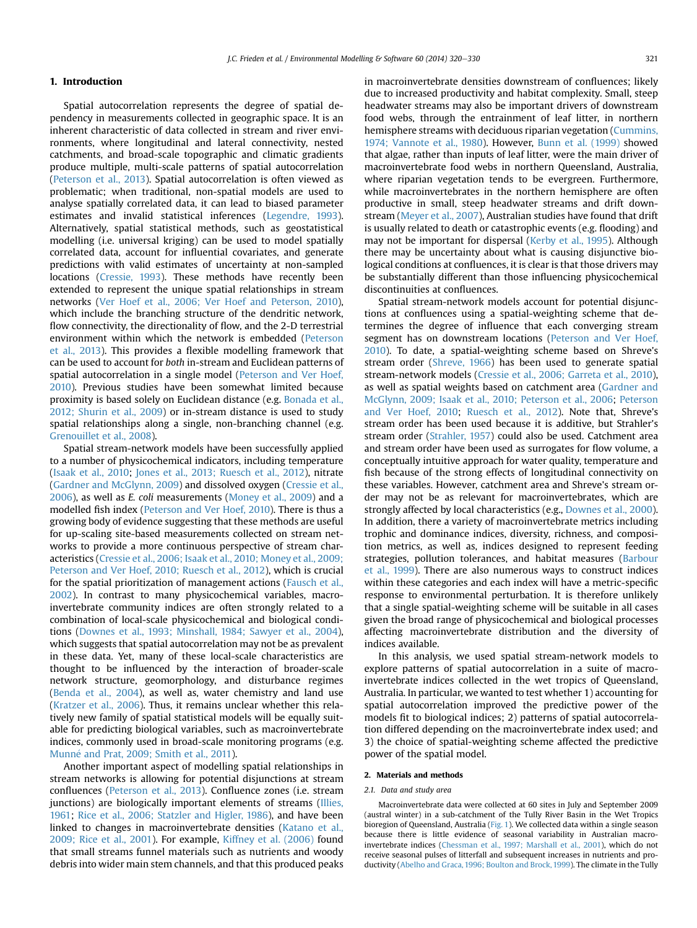# 1. Introduction

Spatial autocorrelation represents the degree of spatial dependency in measurements collected in geographic space. It is an inherent characteristic of data collected in stream and river environments, where longitudinal and lateral connectivity, nested catchments, and broad-scale topographic and climatic gradients produce multiple, multi-scale patterns of spatial autocorrelation ([Peterson et al., 2013](#page-10-0)). Spatial autocorrelation is often viewed as problematic; when traditional, non-spatial models are used to analyse spatially correlated data, it can lead to biased parameter estimates and invalid statistical inferences ([Legendre, 1993\)](#page-9-0). Alternatively, spatial statistical methods, such as geostatistical modelling (i.e. universal kriging) can be used to model spatially correlated data, account for influential covariates, and generate predictions with valid estimates of uncertainty at non-sampled locations [\(Cressie, 1993](#page-9-0)). These methods have recently been extended to represent the unique spatial relationships in stream networks ([Ver Hoef et al., 2006; Ver Hoef and Peterson, 2010\)](#page-10-0), which include the branching structure of the dendritic network, flow connectivity, the directionality of flow, and the 2-D terrestrial environment within which the network is embedded ([Peterson](#page-10-0) [et al., 2013](#page-10-0)). This provides a flexible modelling framework that can be used to account for both in-stream and Euclidean patterns of spatial autocorrelation in a single model ([Peterson and Ver Hoef,](#page-9-0) [2010\)](#page-9-0). Previous studies have been somewhat limited because proximity is based solely on Euclidean distance (e.g. [Bonada et al.,](#page-8-0) [2012; Shurin et al., 2009\)](#page-8-0) or in-stream distance is used to study spatial relationships along a single, non-branching channel (e.g. [Grenouillet et al., 2008](#page-9-0)).

Spatial stream-network models have been successfully applied to a number of physicochemical indicators, including temperature ([Isaak et al., 2010](#page-9-0); [Jones et al., 2013; Ruesch et al., 2012](#page-9-0)), nitrate ([Gardner and McGlynn, 2009\)](#page-9-0) and dissolved oxygen ([Cressie et al.,](#page-9-0) [2006\)](#page-9-0), as well as E. coli measurements ([Money et al., 2009\)](#page-9-0) and a modelled fish index [\(Peterson and Ver Hoef, 2010\)](#page-9-0). There is thus a growing body of evidence suggesting that these methods are useful for up-scaling site-based measurements collected on stream networks to provide a more continuous perspective of stream characteristics ([Cressie et al., 2006; Isaak et al., 2010; Money et al., 2009;](#page-9-0) [Peterson and Ver Hoef, 2010; Ruesch et al., 2012\)](#page-9-0), which is crucial for the spatial prioritization of management actions [\(Fausch et al.,](#page-9-0) [2002\)](#page-9-0). In contrast to many physicochemical variables, macroinvertebrate community indices are often strongly related to a combination of local-scale physicochemical and biological conditions ([Downes et al., 1993; Minshall, 1984; Sawyer et al., 2004\)](#page-9-0), which suggests that spatial autocorrelation may not be as prevalent in these data. Yet, many of these local-scale characteristics are thought to be influenced by the interaction of broader-scale network structure, geomorphology, and disturbance regimes ([Benda et al., 2004\)](#page-8-0), as well as, water chemistry and land use ([Kratzer et al., 2006](#page-9-0)). Thus, it remains unclear whether this relatively new family of spatial statistical models will be equally suitable for predicting biological variables, such as macroinvertebrate indices, commonly used in broad-scale monitoring programs (e.g. Munné and Prat, 2009; Smith et al., 2011).

Another important aspect of modelling spatial relationships in stream networks is allowing for potential disjunctions at stream confluences [\(Peterson et al., 2013](#page-10-0)). Confluence zones (i.e. stream junctions) are biologically important elements of streams [\(Illies,](#page-9-0) [1961;](#page-9-0) [Rice et al., 2006; Statzler and Higler, 1986](#page-10-0)), and have been linked to changes in macroinvertebrate densities ([Katano et al.,](#page-9-0) [2009; Rice et al., 2001\)](#page-9-0). For example, [Kiffney et al. \(2006\)](#page-9-0) found that small streams funnel materials such as nutrients and woody debris into wider main stem channels, and that this produced peaks in macroinvertebrate densities downstream of confluences; likely due to increased productivity and habitat complexity. Small, steep headwater streams may also be important drivers of downstream food webs, through the entrainment of leaf litter, in northern hemisphere streams with deciduous riparian vegetation ([Cummins,](#page-9-0) [1974; Vannote et al., 1980](#page-9-0)). However, [Bunn et al. \(1999\)](#page-9-0) showed that algae, rather than inputs of leaf litter, were the main driver of macroinvertebrate food webs in northern Queensland, Australia, where riparian vegetation tends to be evergreen. Furthermore, while macroinvertebrates in the northern hemisphere are often productive in small, steep headwater streams and drift downstream ([Meyer et al., 2007](#page-9-0)), Australian studies have found that drift is usually related to death or catastrophic events (e.g. flooding) and may not be important for dispersal [\(Kerby et al., 1995\)](#page-9-0). Although there may be uncertainty about what is causing disjunctive biological conditions at confluences, it is clear is that those drivers may be substantially different than those influencing physicochemical discontinuities at confluences.

Spatial stream-network models account for potential disjunctions at confluences using a spatial-weighting scheme that determines the degree of influence that each converging stream segment has on downstream locations ([Peterson and Ver Hoef,](#page-9-0) [2010\)](#page-9-0). To date, a spatial-weighting scheme based on Shreve's stream order ([Shreve, 1966](#page-10-0)) has been used to generate spatial stream-network models ([Cressie et al., 2006; Garreta et al., 2010\)](#page-9-0), as well as spatial weights based on catchment area ([Gardner and](#page-9-0) [McGlynn, 2009; Isaak et al., 2010; Peterson et al., 2006;](#page-9-0) [Peterson](#page-9-0) [and Ver Hoef, 2010](#page-9-0); [Ruesch et al., 2012\)](#page-10-0). Note that, Shreve's stream order has been used because it is additive, but Strahler's stream order [\(Strahler, 1957](#page-10-0)) could also be used. Catchment area and stream order have been used as surrogates for flow volume, a conceptually intuitive approach for water quality, temperature and fish because of the strong effects of longitudinal connectivity on these variables. However, catchment area and Shreve's stream order may not be as relevant for macroinvertebrates, which are strongly affected by local characteristics (e.g., [Downes et al., 2000\)](#page-9-0). In addition, there a variety of macroinvertebrate metrics including trophic and dominance indices, diversity, richness, and composition metrics, as well as, indices designed to represent feeding strategies, pollution tolerances, and habitat measures [\(Barbour](#page-8-0) [et al., 1999](#page-8-0)). There are also numerous ways to construct indices within these categories and each index will have a metric-specific response to environmental perturbation. It is therefore unlikely that a single spatial-weighting scheme will be suitable in all cases given the broad range of physicochemical and biological processes affecting macroinvertebrate distribution and the diversity of indices available.

In this analysis, we used spatial stream-network models to explore patterns of spatial autocorrelation in a suite of macroinvertebrate indices collected in the wet tropics of Queensland, Australia. In particular, we wanted to test whether 1) accounting for spatial autocorrelation improved the predictive power of the models fit to biological indices; 2) patterns of spatial autocorrelation differed depending on the macroinvertebrate index used; and 3) the choice of spatial-weighting scheme affected the predictive power of the spatial model.

# 2. Materials and methods

#### 2.1. Data and study area

Macroinvertebrate data were collected at 60 sites in July and September 2009 (austral winter) in a sub-catchment of the Tully River Basin in the Wet Tropics bioregion of Queensland, Australia [\(Fig. 1\)](#page-2-0). We collected data within a single season because there is little evidence of seasonal variability in Australian macroinvertebrate indices ([Chessman et al., 1997; Marshall et al., 2001\)](#page-9-0), which do not receive seasonal pulses of litterfall and subsequent increases in nutrients and productivity [\(Abelho and Graca, 1996; Boulton and Brock, 1999\)](#page-8-0). The climate in the Tully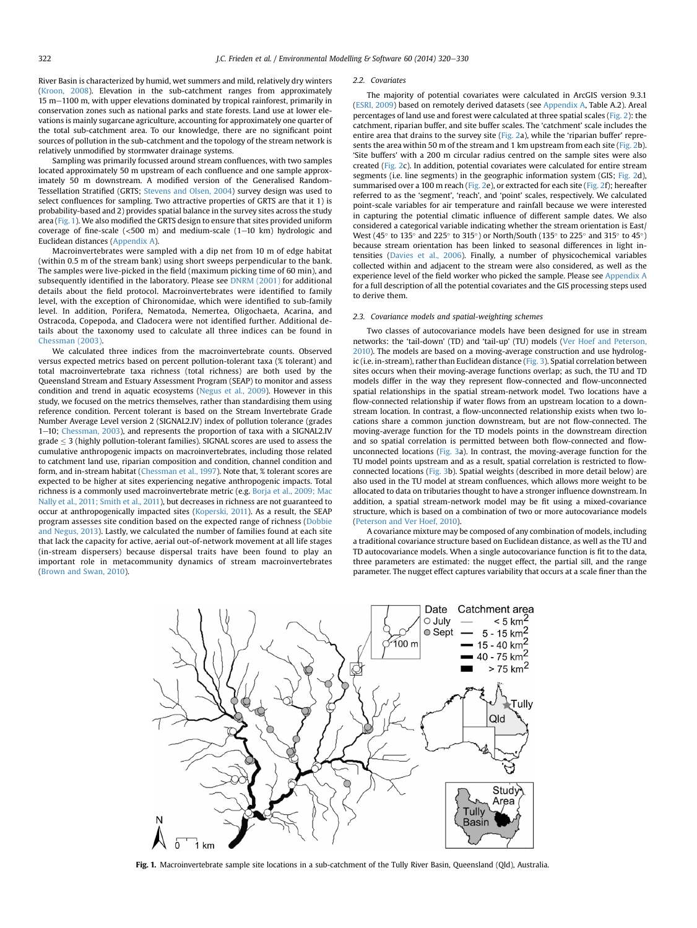<span id="page-2-0"></span>River Basin is characterized by humid, wet summers and mild, relatively dry winters [\(Kroon, 2008\)](#page-9-0). Elevation in the sub-catchment ranges from approximately 15 m-1100 m, with upper elevations dominated by tropical rainforest, primarily in conservation zones such as national parks and state forests. Land use at lower elevations is mainly sugarcane agriculture, accounting for approximately one quarter of the total sub-catchment area. To our knowledge, there are no significant point sources of pollution in the sub-catchment and the topology of the stream network is relatively unmodified by stormwater drainage systems.

Sampling was primarily focussed around stream confluences, with two samples located approximately 50 m upstream of each confluence and one sample approximately 50 m downstream. A modified version of the Generalised Random-Tessellation Stratified (GRTS; [Stevens and Olsen, 2004](#page-10-0)) survey design was used to select confluences for sampling. Two attractive properties of GRTS are that it 1) is probability-based and 2) provides spatial balance in the survey sites across the study area (Fig. 1). We also modified the GRTS design to ensure that sites provided uniform coverage of fine-scale  $(<500 \text{ m})$  and medium-scale  $(1-10 \text{ km})$  hydrologic and Euclidean distances (Appendix A).

Macroinvertebrates were sampled with a dip net from 10 m of edge habitat (within 0.5 m of the stream bank) using short sweeps perpendicular to the bank. The samples were live-picked in the field (maximum picking time of 60 min), and subsequently identified in the laboratory. Please see [DNRM \(2001\)](#page-9-0) for additional details about the field protocol. Macroinvertebrates were identified to family level, with the exception of Chironomidae, which were identified to sub-family level. In addition, Porifera, Nematoda, Nemertea, Oligochaeta, Acarina, and Ostracoda, Copepoda, and Cladocera were not identified further. Additional details about the taxonomy used to calculate all three indices can be found in [Chessman \(2003\)](#page-9-0).

We calculated three indices from the macroinvertebrate counts. Observed versus expected metrics based on percent pollution-tolerant taxa (% tolerant) and total macroinvertebrate taxa richness (total richness) are both used by the Queensland Stream and Estuary Assessment Program (SEAP) to monitor and assess condition and trend in aquatic ecosystems ([Negus et al., 2009](#page-9-0)). However in this study, we focused on the metrics themselves, rather than standardising them using reference condition. Percent tolerant is based on the Stream Invertebrate Grade Number Average Level version 2 (SIGNAL2.IV) index of pollution tolerance (grades 1-10; [Chessman, 2003\)](#page-9-0), and represents the proportion of taxa with a SIGNAL2.IV grade  $\leq$  3 (highly pollution-tolerant families). SIGNAL scores are used to assess the cumulative anthropogenic impacts on macroinvertebrates, including those related to catchment land use, riparian composition and condition, channel condition and form, and in-stream habitat ([Chessman et al., 1997](#page-9-0)). Note that, % tolerant scores are expected to be higher at sites experiencing negative anthropogenic impacts. Total richness is a commonly used macroinvertebrate metric (e.g. [Borja et al., 2009; Mac](#page-8-0) [Nally et al., 2011; Smith et al., 2011\)](#page-8-0), but decreases in richness are not guaranteed to occur at anthropogenically impacted sites [\(Koperski, 2011\)](#page-9-0). As a result, the SEAP program assesses site condition based on the expected range of richness ([Dobbie](#page-9-0) [and Negus, 2013\)](#page-9-0). Lastly, we calculated the number of families found at each site that lack the capacity for active, aerial out-of-network movement at all life stages (in-stream dispersers) because dispersal traits have been found to play an important role in metacommunity dynamics of stream macroinvertebrates [\(Brown and Swan, 2010\)](#page-9-0).

#### 2.2. Covariates

The majority of potential covariates were calculated in ArcGIS version 9.3.1 [\(ESRI, 2009](#page-9-0)) based on remotely derived datasets (see Appendix A, Table A.2). Areal percentages of land use and forest were calculated at three spatial scales [\(Fig. 2\)](#page-3-0): the catchment, riparian buffer, and site buffer scales. The 'catchment' scale includes the entire area that drains to the survey site ([Fig. 2a](#page-3-0)), while the 'riparian buffer' repre-sents the area within 50 m of the stream and 1 km upstream from each site ([Fig. 2](#page-3-0)b). 'Site buffers' with a 200 m circular radius centred on the sample sites were also created ([Fig. 2c](#page-3-0)). In addition, potential covariates were calculated for entire stream segments (i.e. line segments) in the geographic information system (GIS; [Fig. 2d](#page-3-0)), summarised over a 100 m reach [\(Fig. 2e](#page-3-0)), or extracted for each site ([Fig. 2](#page-3-0)f); hereafter referred to as the 'segment', 'reach', and 'point' scales, respectively. We calculated point-scale variables for air temperature and rainfall because we were interested in capturing the potential climatic influence of different sample dates. We also considered a categorical variable indicating whether the stream orientation is East/ West (45 $\degree$  to 135 $\degree$  and 225 $\degree$  to 315 $\degree$ ) or North/South (135 $\degree$  to 225 $\degree$  and 315 $\degree$  to 45 $\degree$ ) because stream orientation has been linked to seasonal differences in light intensities [\(Davies et al., 2006\)](#page-9-0). Finally, a number of physicochemical variables collected within and adjacent to the stream were also considered, as well as the experience level of the field worker who picked the sample. Please see Appendix A for a full description of all the potential covariates and the GIS processing steps used to derive them.

# 2.3. Covariance models and spatial-weighting schemes

Two classes of autocovariance models have been designed for use in stream networks: the 'tail-down' (TD) and 'tail-up' (TU) models [\(Ver Hoef and Peterson,](#page-10-0) [2010](#page-10-0)). The models are based on a moving-average construction and use hydrologic (i.e. in-stream), rather than Euclidean distance ([Fig. 3](#page-3-0)). Spatial correlation between sites occurs when their moving-average functions overlap; as such, the TU and TD models differ in the way they represent flow-connected and flow-unconnected spatial relationships in the spatial stream-network model. Two locations have a flow-connected relationship if water flows from an upstream location to a downstream location. In contrast, a flow-unconnected relationship exists when two locations share a common junction downstream, but are not flow-connected. The moving-average function for the TD models points in the downstream direction and so spatial correlation is permitted between both flow-connected and flowunconnected locations ([Fig. 3a](#page-3-0)). In contrast, the moving-average function for the TU model points upstream and as a result, spatial correlation is restricted to flowconnected locations ([Fig. 3](#page-3-0)b). Spatial weights (described in more detail below) are also used in the TU model at stream confluences, which allows more weight to be allocated to data on tributaries thought to have a stronger influence downstream. In addition, a spatial stream-network model may be fit using a mixed-covariance structure, which is based on a combination of two or more autocovariance models [\(Peterson and Ver Hoef, 2010\)](#page-9-0).

A covariance mixture may be composed of any combination of models, including a traditional covariance structure based on Euclidean distance, as well as the TU and TD autocovariance models. When a single autocovariance function is fit to the data, three parameters are estimated: the nugget effect, the partial sill, and the range parameter. The nugget effect captures variability that occurs at a scale finer than the



Fig. 1. Macroinvertebrate sample site locations in a sub-catchment of the Tully River Basin, Queensland (Qld), Australia.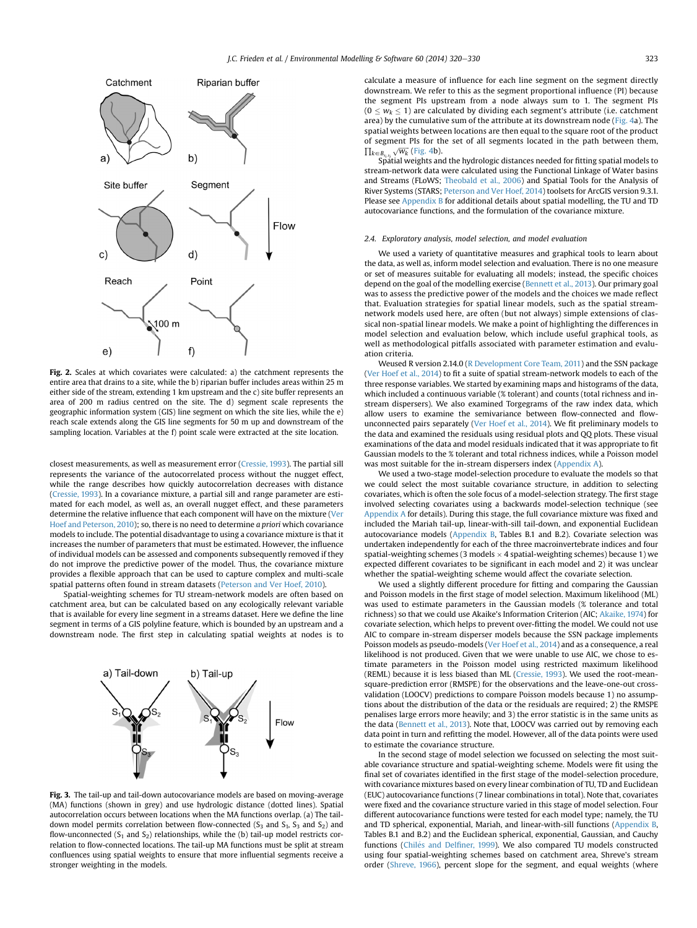<span id="page-3-0"></span>

Fig. 2. Scales at which covariates were calculated: a) the catchment represents the entire area that drains to a site, while the b) riparian buffer includes areas within 25 m either side of the stream, extending 1 km upstream and the c) site buffer represents an area of 200 m radius centred on the site. The d) segment scale represents the geographic information system (GIS) line segment on which the site lies, while the e) reach scale extends along the GIS line segments for 50 m up and downstream of the sampling location. Variables at the f) point scale were extracted at the site location.

closest measurements, as well as measurement error [\(Cressie, 1993\)](#page-9-0). The partial sill represents the variance of the autocorrelated process without the nugget effect, while the range describes how quickly autocorrelation decreases with distance ([Cressie, 1993\)](#page-9-0). In a covariance mixture, a partial sill and range parameter are estimated for each model, as well as, an overall nugget effect, and these parameters determine the relative influence that each component will have on the mixture [\(Ver](#page-10-0) [Hoef and Peterson, 2010\)](#page-10-0); so, there is no need to determine a priori which covariance models to include. The potential disadvantage to using a covariance mixture is that it increases the number of parameters that must be estimated. However, the influence of individual models can be assessed and components subsequently removed if they do not improve the predictive power of the model. Thus, the covariance mixture provides a flexible approach that can be used to capture complex and multi-scale spatial patterns often found in stream datasets ([Peterson and Ver Hoef, 2010](#page-9-0)).

Spatial-weighting schemes for TU stream-network models are often based on catchment area, but can be calculated based on any ecologically relevant variable that is available for every line segment in a streams dataset. Here we define the line segment in terms of a GIS polyline feature, which is bounded by an upstream and a downstream node. The first step in calculating spatial weights at nodes is to



Fig. 3. The tail-up and tail-down autocovariance models are based on moving-average (MA) functions (shown in grey) and use hydrologic distance (dotted lines). Spatial autocorrelation occurs between locations when the MA functions overlap. (a) The taildown model permits correlation between flow-connected ( $S_3$  and  $S_1$ ,  $S_3$  and  $S_2$ ) and flow-unconnected  $(S_1$  and  $S_2)$  relationships, while the  $(b)$  tail-up model restricts correlation to flow-connected locations. The tail-up MA functions must be split at stream confluences using spatial weights to ensure that more influential segments receive a stronger weighting in the models.

calculate a measure of influence for each line segment on the segment directly downstream. We refer to this as the segment proportional influence (PI) because the segment PIs upstream from a node always sum to 1. The segment PIs  $(0 \leq w_k \leq 1)$  are calculated by dividing each segment's attribute (i.e. catchment area) by the cumulative sum of the attribute at its downstream node ([Fig. 4](#page-4-0)a). The spatial weights between locations are then equal to the square root of the product of segment PIs for the set of all segments located in the path between them,  $\prod_{k \in B_{s_i,s_j}} \sqrt{w_k}$  ([Fig. 4](#page-4-0)b).

j Spatial weights and the hydrologic distances needed for fitting spatial models to stream-network data were calculated using the Functional Linkage of Water basins and Streams (FLoWS; [Theobald et al., 2006](#page-10-0)) and Spatial Tools for the Analysis of River Systems (STARS; [Peterson and Ver Hoef, 2014\)](#page-9-0) toolsets for ArcGIS version 9.3.1. Please see Appendix B for additional details about spatial modelling, the TU and TD autocovariance functions, and the formulation of the covariance mixture.

#### 2.4. Exploratory analysis, model selection, and model evaluation

We used a variety of quantitative measures and graphical tools to learn about the data, as well as, inform model selection and evaluation. There is no one measure or set of measures suitable for evaluating all models; instead, the specific choices depend on the goal of the modelling exercise [\(Bennett et al., 2013\)](#page-8-0). Our primary goal was to assess the predictive power of the models and the choices we made reflect that. Evaluation strategies for spatial linear models, such as the spatial streamnetwork models used here, are often (but not always) simple extensions of classical non-spatial linear models. We make a point of highlighting the differences in model selection and evaluation below, which include useful graphical tools, as well as methodological pitfalls associated with parameter estimation and evaluation criteria.

Weused R version 2.14.0 ([R Development Core Team, 2011\)](#page-10-0) and the SSN package ([Ver Hoef et al., 2014\)](#page-10-0) to fit a suite of spatial stream-network models to each of the three response variables. We started by examining maps and histograms of the data, which included a continuous variable (% tolerant) and counts (total richness and instream dispersers). We also examined Torgegrams of the raw index data, which allow users to examine the semivariance between flow-connected and flowunconnected pairs separately [\(Ver Hoef et al., 2014\)](#page-10-0). We fit preliminary models to the data and examined the residuals using residual plots and QQ plots. These visual examinations of the data and model residuals indicated that it was appropriate to fit Gaussian models to the % tolerant and total richness indices, while a Poisson model was most suitable for the in-stream dispersers index (Appendix A).

We used a two-stage model-selection procedure to evaluate the models so that we could select the most suitable covariance structure, in addition to selecting covariates, which is often the sole focus of a model-selection strategy. The first stage involved selecting covariates using a backwards model-selection technique (see Appendix A for details). During this stage, the full covariance mixture was fixed and included the Mariah tail-up, linear-with-sill tail-down, and exponential Euclidean autocovariance models (Appendix B, Tables B.1 and B.2). Covariate selection was undertaken independently for each of the three macroinvertebrate indices and four spatial-weighting schemes (3 models  $\times$  4 spatial-weighting schemes) because 1) we expected different covariates to be significant in each model and 2) it was unclear whether the spatial-weighting scheme would affect the covariate selection.

We used a slightly different procedure for fitting and comparing the Gaussian and Poisson models in the first stage of model selection. Maximum likelihood (ML) was used to estimate parameters in the Gaussian models (% tolerance and total richness) so that we could use Akaike's Information Criterion (AIC; [Akaike, 1974\)](#page-8-0) for covariate selection, which helps to prevent over-fitting the model. We could not use AIC to compare in-stream disperser models because the SSN package implements Poisson models as pseudo-models [\(Ver Hoef et al., 2014\)](#page-10-0) and as a consequence, a real likelihood is not produced. Given that we were unable to use AIC, we chose to estimate parameters in the Poisson model using restricted maximum likelihood (REML) because it is less biased than ML [\(Cressie, 1993\)](#page-9-0). We used the root-meansquare-prediction error (RMSPE) for the observations and the leave-one-out crossvalidation (LOOCV) predictions to compare Poisson models because 1) no assumptions about the distribution of the data or the residuals are required; 2) the RMSPE penalises large errors more heavily; and 3) the error statistic is in the same units as the data ([Bennett et al., 2013](#page-8-0)). Note that, LOOCV was carried out by removing each data point in turn and refitting the model. However, all of the data points were used to estimate the covariance structure.

In the second stage of model selection we focussed on selecting the most suitable covariance structure and spatial-weighting scheme. Models were fit using the final set of covariates identified in the first stage of the model-selection procedure, with covariance mixtures based on every linear combination of TU, TD and Euclidean (EUC) autocovariance functions (7 linear combinations in total). Note that, covariates were fixed and the covariance structure varied in this stage of model selection. Four different autocovariance functions were tested for each model type; namely, the TU and TD spherical, exponential, Mariah, and linear-with-sill functions (Appendix B, Tables B.1 and B.2) and the Euclidean spherical, exponential, Gaussian, and Cauchy functions (Chilés and Delfiner, 1999). We also compared TU models constructed using four spatial-weighting schemes based on catchment area, Shreve's stream order [\(Shreve, 1966\)](#page-10-0), percent slope for the segment, and equal weights (where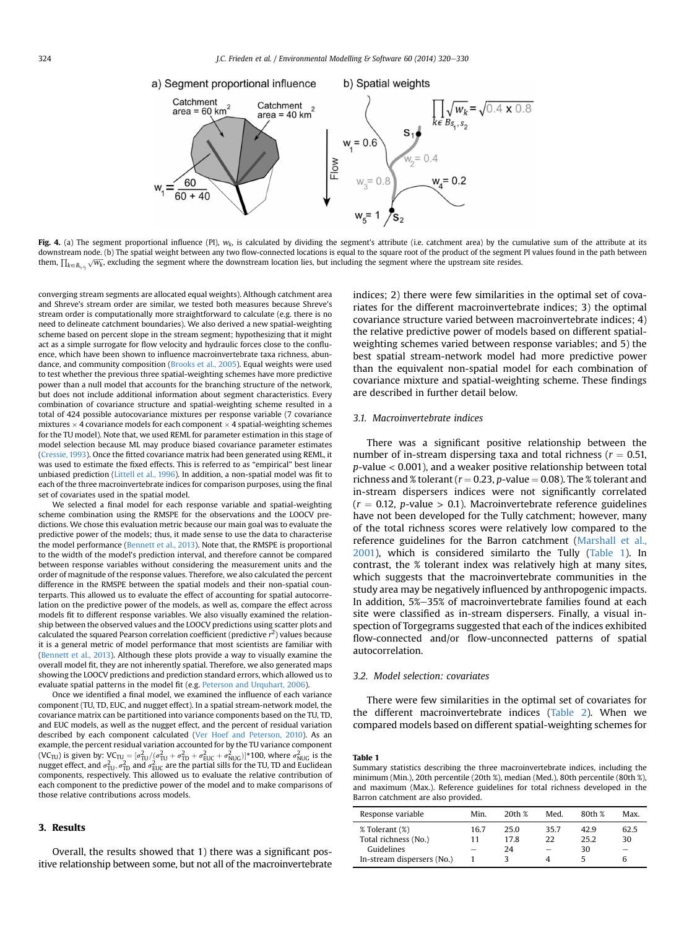<span id="page-4-0"></span>

Fig. 4. (a) The segment proportional influence (PI),  $w_k$ , is calculated by dividing the segment's attribute (i.e. catchment area) by the cumulative sum of the attribute at its downstream node. (b) The spatial weight between any two flow-connected locations is equal to the square root of the product of the segment PI values found in the path between them,  $\prod_{k\in B_{s_i,s_j}}\sqrt{w_k}$ , excluding the segment where the downstream location lies, but including the segment where the upstream site resides.

converging stream segments are allocated equal weights). Although catchment area and Shreve's stream order are similar, we tested both measures because Shreve's stream order is computationally more straightforward to calculate (e.g. there is no need to delineate catchment boundaries). We also derived a new spatial-weighting scheme based on percent slope in the stream segment; hypothesizing that it might act as a simple surrogate for flow velocity and hydraulic forces close to the confluence, which have been shown to influence macroinvertebrate taxa richness, abundance, and community composition [\(Brooks et al., 2005](#page-9-0)). Equal weights were used to test whether the previous three spatial-weighting schemes have more predictive power than a null model that accounts for the branching structure of the network, but does not include additional information about segment characteristics. Every combination of covariance structure and spatial-weighting scheme resulted in a total of 424 possible autocovariance mixtures per response variable (7 covariance mixtures  $\times$  4 covariance models for each component  $\times$  4 spatial-weighting schemes for the TU model). Note that, we used REML for parameter estimation in this stage of model selection because ML may produce biased covariance parameter estimates [\(Cressie, 1993\)](#page-9-0). Once the fitted covariance matrix had been generated using REML, it was used to estimate the fixed effects. This is referred to as "empirical" best linear unbiased prediction ([Littell et al., 1996\)](#page-9-0). In addition, a non-spatial model was fit to each of the three macroinvertebrate indices for comparison purposes, using the final set of covariates used in the spatial model.

We selected a final model for each response variable and spatial-weighting scheme combination using the RMSPE for the observations and the LOOCV predictions. We chose this evaluation metric because our main goal was to evaluate the predictive power of the models; thus, it made sense to use the data to characterise the model performance ([Bennett et al., 2013\)](#page-8-0). Note that, the RMSPE is proportional to the width of the model's prediction interval, and therefore cannot be compared between response variables without considering the measurement units and the order of magnitude of the response values. Therefore, we also calculated the percent difference in the RMSPE between the spatial models and their non-spatial counterparts. This allowed us to evaluate the effect of accounting for spatial autocorrelation on the predictive power of the models, as well as, compare the effect across models fit to different response variables. We also visually examined the relationship between the observed values and the LOOCV predictions using scatter plots and calculated the squared Pearson correlation coefficient (predictive  $r^2$ ) values because it is a general metric of model performance that most scientists are familiar with [\(Bennett et al., 2013\)](#page-8-0). Although these plots provide a way to visually examine the overall model fit, they are not inherently spatial. Therefore, we also generated maps showing the LOOCV predictions and prediction standard errors, which allowed us to evaluate spatial patterns in the model fit (e.g. [Peterson and Urquhart, 2006\)](#page-9-0).

Once we identified a final model, we examined the influence of each variance component (TU, TD, EUC, and nugget effect). In a spatial stream-network model, the covariance matrix can be partitioned into variance components based on the TU, TD, and EUC models, as well as the nugget effect, and the percent of residual variation described by each component calculated [\(Ver Hoef and Peterson, 2010\)](#page-10-0). As an example, the percent residual variation accounted for by the TU variance component (VC<sub>TU</sub>) is given by: VC<sub>TU</sub> =  $[\sigma_{\rm TU}^2/(\sigma_{\rm TU}^2+\sigma_{\rm TD}^2+\sigma_{\rm EUC}^2+\sigma_{\rm NUG}^2)]^*$ 100, where  $\sigma_{\rm NUG}^2$  is the nugget effect, and  $\sigma_{\rm TU}^2,\sigma_{\rm TD}^2$  and  $\sigma_{\rm EUC}^2$  are the partial sills for the TU, TD and Euclidea components, respectively. This allowed us to evaluate the relative contribution of each component to the predictive power of the model and to make comparisons of those relative contributions across models.

# 3. Results

Overall, the results showed that 1) there was a significant positive relationship between some, but not all of the macroinvertebrate indices; 2) there were few similarities in the optimal set of covariates for the different macroinvertebrate indices; 3) the optimal covariance structure varied between macroinvertebrate indices; 4) the relative predictive power of models based on different spatialweighting schemes varied between response variables; and 5) the best spatial stream-network model had more predictive power than the equivalent non-spatial model for each combination of covariance mixture and spatial-weighting scheme. These findings are described in further detail below.

# 3.1. Macroinvertebrate indices

There was a significant positive relationship between the number of in-stream dispersing taxa and total richness ( $r = 0.51$ , p-value < 0.001), and a weaker positive relationship between total richness and % tolerant ( $r = 0.23$ , p-value  $= 0.08$ ). The % tolerant and in-stream dispersers indices were not significantly correlated  $(r = 0.12, p-value > 0.1)$ . Macroinvertebrate reference guidelines have not been developed for the Tully catchment; however, many of the total richness scores were relatively low compared to the reference guidelines for the Barron catchment [\(Marshall et al.,](#page-9-0) [2001\)](#page-9-0), which is considered similarto the Tully (Table 1). In contrast, the % tolerant index was relatively high at many sites, which suggests that the macroinvertebrate communities in the study area may be negatively influenced by anthropogenic impacts. In addition, 5%–35% of macroinvertebrate families found at each site were classified as in-stream dispersers. Finally, a visual inspection of Torgegrams suggested that each of the indices exhibited flow-connected and/or flow-unconnected patterns of spatial autocorrelation.

# 3.2. Model selection: covariates

There were few similarities in the optimal set of covariates for the different macroinvertebrate indices ([Table 2\)](#page-5-0). When we compared models based on different spatial-weighting schemes for

#### Table 1

Summary statistics describing the three macroinvertebrate indices, including the minimum (Min.), 20th percentile (20th %), median (Med.), 80th percentile (80th %), and maximum (Max.). Reference guidelines for total richness developed in the Barron catchment are also provided.

| Response variable          | Min. | 20th % | Med. | 80th % | Max. |
|----------------------------|------|--------|------|--------|------|
| % Tolerant (%)             | 16.7 | 25.0   | 35.7 | 42.9   | 62.5 |
| Total richness (No.)       | 11   | 17.8   | 22   | 25.2   | 30   |
| Guidelines                 |      | 24     |      | 30     |      |
| In-stream dispersers (No.) |      |        |      |        |      |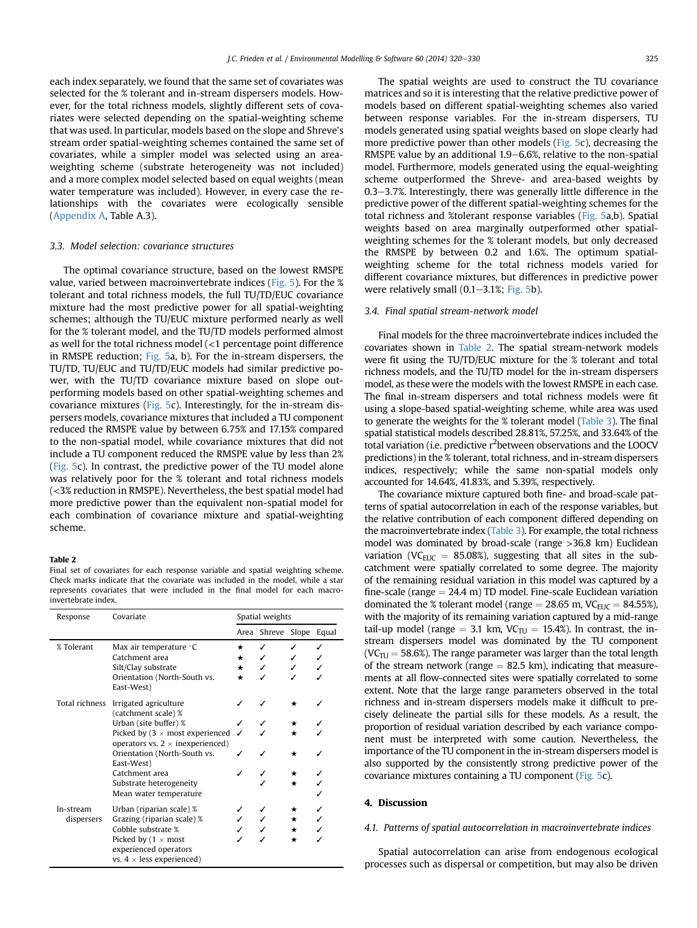<span id="page-5-0"></span>each index separately, we found that the same set of covariates was selected for the % tolerant and in-stream dispersers models. However, for the total richness models, slightly different sets of covariates were selected depending on the spatial-weighting scheme that was used. In particular, models based on the slope and Shreve's stream order spatial-weighting schemes contained the same set of covariates, while a simpler model was selected using an areaweighting scheme (substrate heterogeneity was not included) and a more complex model selected based on equal weights (mean water temperature was included). However, in every case the relationships with the covariates were ecologically sensible (Appendix A, Table A.3).

#### 3.3. Model selection: covariance structures

The optimal covariance structure, based on the lowest RMSPE value, varied between macroinvertebrate indices ([Fig. 5](#page-6-0)). For the % tolerant and total richness models, the full TU/TD/EUC covariance mixture had the most predictive power for all spatial-weighting schemes; although the TU/EUC mixture performed nearly as well for the % tolerant model, and the TU/TD models performed almost as well for the total richness model (<1 percentage point difference in RMSPE reduction; [Fig. 5](#page-6-0)a, b). For the in-stream dispersers, the TU/TD, TU/EUC and TU/TD/EUC models had similar predictive power, with the TU/TD covariance mixture based on slope outperforming models based on other spatial-weighting schemes and covariance mixtures ([Fig. 5](#page-6-0)c). Interestingly, for the in-stream dispersers models, covariance mixtures that included a TU component reduced the RMSPE value by between 6.75% and 17.15% compared to the non-spatial model, while covariance mixtures that did not include a TU component reduced the RMSPE value by less than 2% ([Fig. 5](#page-6-0)c). In contrast, the predictive power of the TU model alone was relatively poor for the % tolerant and total richness models (<3% reduction in RMSPE). Nevertheless, the best spatial model had more predictive power than the equivalent non-spatial model for each combination of covariance mixture and spatial-weighting scheme.

# Table 2

Final set of covariates for each response variable and spatial weighting scheme. Check marks indicate that the covariate was included in the model, while a star represents covariates that were included in the final model for each macroinvertebrate index.

| Response                | Covariate                                                                                       | Spatial weights |                         |         |  |
|-------------------------|-------------------------------------------------------------------------------------------------|-----------------|-------------------------|---------|--|
|                         |                                                                                                 |                 | Area Shreve Slope Equal |         |  |
| % Tolerant              | Max air temperature °C                                                                          | *               |                         |         |  |
|                         | Catchment area                                                                                  | $\star$         |                         |         |  |
|                         | Silt/Clay substrate                                                                             | $\star$         |                         |         |  |
|                         | Orientation (North-South vs.<br>East-West)                                                      | $\star$         |                         |         |  |
| Total richness          | Irrigated agriculture<br>(catchment scale) %                                                    |                 |                         |         |  |
|                         | Urban (site buffer) %                                                                           |                 |                         |         |  |
|                         | Picked by $(3 \times \text{most experienced})$<br>operators vs. $2 \times$ inexperienced)       |                 |                         |         |  |
|                         | Orientation (North-South vs.<br>East-West)                                                      |                 |                         | $\star$ |  |
|                         | Catchment area                                                                                  |                 |                         |         |  |
|                         | Substrate heterogeneity                                                                         |                 |                         | $\star$ |  |
|                         | Mean water temperature                                                                          |                 |                         |         |  |
| In-stream<br>dispersers | Urban (riparian scale) %                                                                        |                 |                         |         |  |
|                         | Grazing (riparian scale) %                                                                      |                 |                         |         |  |
|                         | Cobble substrate %                                                                              |                 |                         |         |  |
|                         | Picked by ( $1 \times \text{most}$<br>experienced operators<br>vs. $4 \times$ less experienced) |                 |                         | *       |  |

The spatial weights are used to construct the TU covariance matrices and so it is interesting that the relative predictive power of models based on different spatial-weighting schemes also varied between response variables. For the in-stream dispersers, TU models generated using spatial weights based on slope clearly had more predictive power than other models [\(Fig. 5](#page-6-0)c), decreasing the RMSPE value by an additional  $1.9-6.6%$ , relative to the non-spatial model. Furthermore, models generated using the equal-weighting scheme outperformed the Shreve- and area-based weights by  $0.3-3.7%$ . Interestingly, there was generally little difference in the predictive power of the different spatial-weighting schemes for the total richness and %tolerant response variables ([Fig. 5](#page-6-0)a,b). Spatial weights based on area marginally outperformed other spatialweighting schemes for the % tolerant models, but only decreased the RMSPE by between 0.2 and 1.6%. The optimum spatialweighting scheme for the total richness models varied for different covariance mixtures, but differences in predictive power were relatively small  $(0.1–3.1\%; Fig. 5b)$  $(0.1–3.1\%; Fig. 5b)$  $(0.1–3.1\%; Fig. 5b)$ .

#### 3.4. Final spatial stream-network model

Final models for the three macroinvertebrate indices included the covariates shown in Table 2. The spatial stream-network models were fit using the TU/TD/EUC mixture for the % tolerant and total richness models, and the TU/TD model for the in-stream dispersers model, as these were the models with the lowest RMSPE in each case. The final in-stream dispersers and total richness models were fit using a slope-based spatial-weighting scheme, while area was used to generate the weights for the % tolerant model ([Table 3\)](#page-6-0). The final spatial statistical models described 28.81%, 57.25%, and 33.64% of the total variation (i.e. predictive r<sup>2</sup>between observations and the LOOCV predictions) in the % tolerant, total richness, and in-stream dispersers indices, respectively; while the same non-spatial models only accounted for 14.64%, 41.83%, and 5.39%, respectively.

The covariance mixture captured both fine- and broad-scale patterns of spatial autocorrelation in each of the response variables, but the relative contribution of each component differed depending on the macroinvertebrate index ([Table 3](#page-6-0)). For example, the total richness model was dominated by broad-scale (range >36.8 km) Euclidean variation (VC<sub>EUC</sub> = 85.08%), suggesting that all sites in the subcatchment were spatially correlated to some degree. The majority of the remaining residual variation in this model was captured by a fine-scale (range  $= 24.4$  m) TD model. Fine-scale Euclidean variation dominated the % tolerant model (range  $= 28.65$  m, VC<sub>EUC</sub>  $= 84.55\%$ ), with the majority of its remaining variation captured by a mid-range tail-up model (range  $= 3.1$  km, VC<sub>TU</sub>  $= 15.4$ %). In contrast, the instream dispersers model was dominated by the TU component (VC $_{\text{TU}}$  = 58.6%). The range parameter was larger than the total length of the stream network (range  $= 82.5$  km), indicating that measurements at all flow-connected sites were spatially correlated to some extent. Note that the large range parameters observed in the total richness and in-stream dispersers models make it difficult to precisely delineate the partial sills for these models. As a result, the proportion of residual variation described by each variance component must be interpreted with some caution. Nevertheless, the importance of the TU component in the in-stream dispersers model is also supported by the consistently strong predictive power of the covariance mixtures containing a TU component [\(Fig. 5c](#page-6-0)).

### 4. Discussion

# 4.1. Patterns of spatial autocorrelation in macroinvertebrate indices

Spatial autocorrelation can arise from endogenous ecological processes such as dispersal or competition, but may also be driven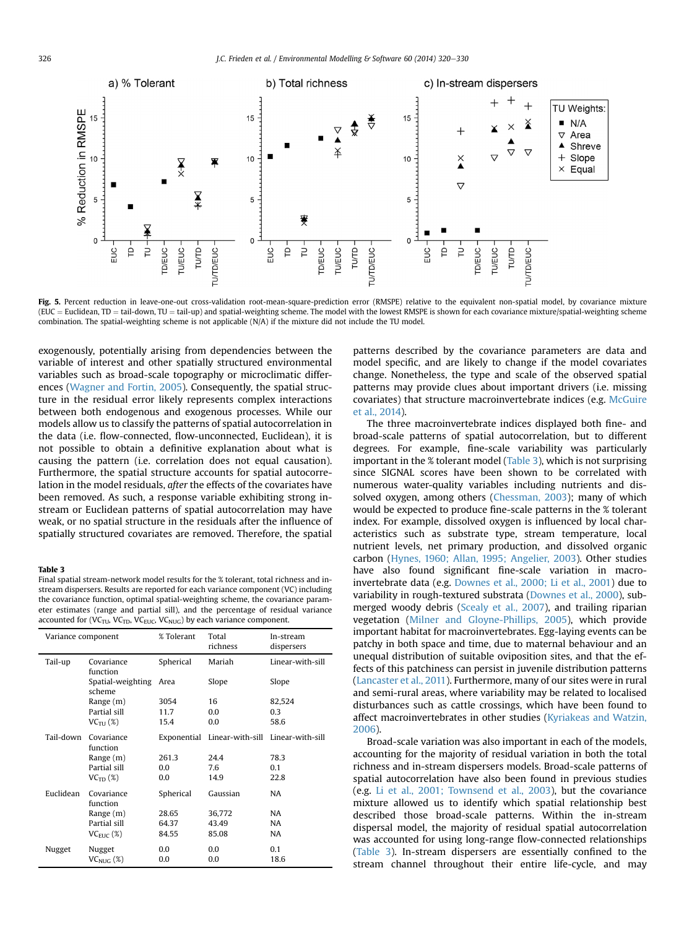<span id="page-6-0"></span>

Fig. 5. Percent reduction in leave-one-out cross-validation root-mean-square-prediction error (RMSPE) relative to the equivalent non-spatial model, by covariance mixture (EUC = Euclidean, TD = tail-down, TU = tail-up) and spatial-weighting scheme. The model with the lowest RMSPE is shown for each covariance mixture/spatial-weighting scheme combination. The spatial-weighting scheme is not applicable (N/A) if the mixture did not include the TU model.

exogenously, potentially arising from dependencies between the variable of interest and other spatially structured environmental variables such as broad-scale topography or microclimatic differences ([Wagner and Fortin, 2005\)](#page-10-0). Consequently, the spatial structure in the residual error likely represents complex interactions between both endogenous and exogenous processes. While our models allow us to classify the patterns of spatial autocorrelation in the data (i.e. flow-connected, flow-unconnected, Euclidean), it is not possible to obtain a definitive explanation about what is causing the pattern (i.e. correlation does not equal causation). Furthermore, the spatial structure accounts for spatial autocorrelation in the model residuals, after the effects of the covariates have been removed. As such, a response variable exhibiting strong instream or Euclidean patterns of spatial autocorrelation may have weak, or no spatial structure in the residuals after the influence of spatially structured covariates are removed. Therefore, the spatial

# Table 3

Final spatial stream-network model results for the % tolerant, total richness and instream dispersers. Results are reported for each variance component (VC) including the covariance function, optimal spatial-weighting scheme, the covariance parameter estimates (range and partial sill), and the percentage of residual variance accounted for (VC<sub>TU</sub>, VC<sub>TD</sub>, VC<sub>EUC</sub>, VC<sub>NUG</sub>) by each variance component.

| Variance component |                             | % Tolerant  | Total<br>richness | In-stream<br>dispersers |
|--------------------|-----------------------------|-------------|-------------------|-------------------------|
| Tail-up            | Covariance<br>function      | Spherical   | Mariah            | Linear-with-sill        |
|                    | Spatial-weighting<br>scheme | Area        | Slope             | Slope                   |
|                    | Range (m)                   | 3054        | 16                | 82,524                  |
|                    | Partial sill                | 11.7        | 0.0               | 0.3                     |
|                    | $VC_{\text{TI}}$ (%)        | 15.4        | 0.0               | 58.6                    |
| Tail-down          | Covariance<br>function      | Exponential | Linear-with-sill  | Linear-with-sill        |
|                    | Range (m)                   | 261.3       | 24.4              | 78.3                    |
|                    | Partial sill                | 0.0         | 7.6               | 0.1                     |
|                    | $VCTD$ (%)                  | 0.0         | 14.9              | 22.8                    |
| Euclidean          | Covariance<br>function      | Spherical   | Gaussian          | NA                      |
|                    | Range (m)                   | 28.65       | 36,772            | NA                      |
|                    | Partial sill                | 64.37       | 43.49             | NA                      |
|                    | $VC_{EHC}$ (%)              | 84.55       | 85.08             | NA                      |
| Nugget             | Nugget                      | 0.0         | 0.0               | 0.1                     |
|                    | $VC_{NHC}$ (%)              | 0.0         | 0.0               | 18.6                    |

patterns described by the covariance parameters are data and model specific, and are likely to change if the model covariates change. Nonetheless, the type and scale of the observed spatial patterns may provide clues about important drivers (i.e. missing covariates) that structure macroinvertebrate indices (e.g. [McGuire](#page-9-0) [et al., 2014\)](#page-9-0).

The three macroinvertebrate indices displayed both fine- and broad-scale patterns of spatial autocorrelation, but to different degrees. For example, fine-scale variability was particularly important in the % tolerant model (Table 3), which is not surprising since SIGNAL scores have been shown to be correlated with numerous water-quality variables including nutrients and dissolved oxygen, among others ([Chessman, 2003\)](#page-9-0); many of which would be expected to produce fine-scale patterns in the % tolerant index. For example, dissolved oxygen is influenced by local characteristics such as substrate type, stream temperature, local nutrient levels, net primary production, and dissolved organic carbon [\(Hynes, 1960; Allan, 1995; Angelier, 2003](#page-9-0)). Other studies have also found significant fine-scale variation in macroinvertebrate data (e.g. [Downes et al., 2000; Li et al., 2001](#page-9-0)) due to variability in rough-textured substrata [\(Downes et al., 2000\)](#page-9-0), submerged woody debris ([Scealy et al., 2007](#page-10-0)), and trailing riparian vegetation [\(Milner and Gloyne-Phillips, 2005\)](#page-9-0), which provide important habitat for macroinvertebrates. Egg-laying events can be patchy in both space and time, due to maternal behaviour and an unequal distribution of suitable oviposition sites, and that the effects of this patchiness can persist in juvenile distribution patterns ([Lancaster et al., 2011](#page-9-0)). Furthermore, many of our sites were in rural and semi-rural areas, where variability may be related to localised disturbances such as cattle crossings, which have been found to affect macroinvertebrates in other studies [\(Kyriakeas and Watzin,](#page-9-0) [2006](#page-9-0)).

Broad-scale variation was also important in each of the models, accounting for the majority of residual variation in both the total richness and in-stream dispersers models. Broad-scale patterns of spatial autocorrelation have also been found in previous studies (e.g. [Li et al., 2001; Townsend et al., 2003\)](#page-9-0), but the covariance mixture allowed us to identify which spatial relationship best described those broad-scale patterns. Within the in-stream dispersal model, the majority of residual spatial autocorrelation was accounted for using long-range flow-connected relationships (Table 3). In-stream dispersers are essentially confined to the stream channel throughout their entire life-cycle, and may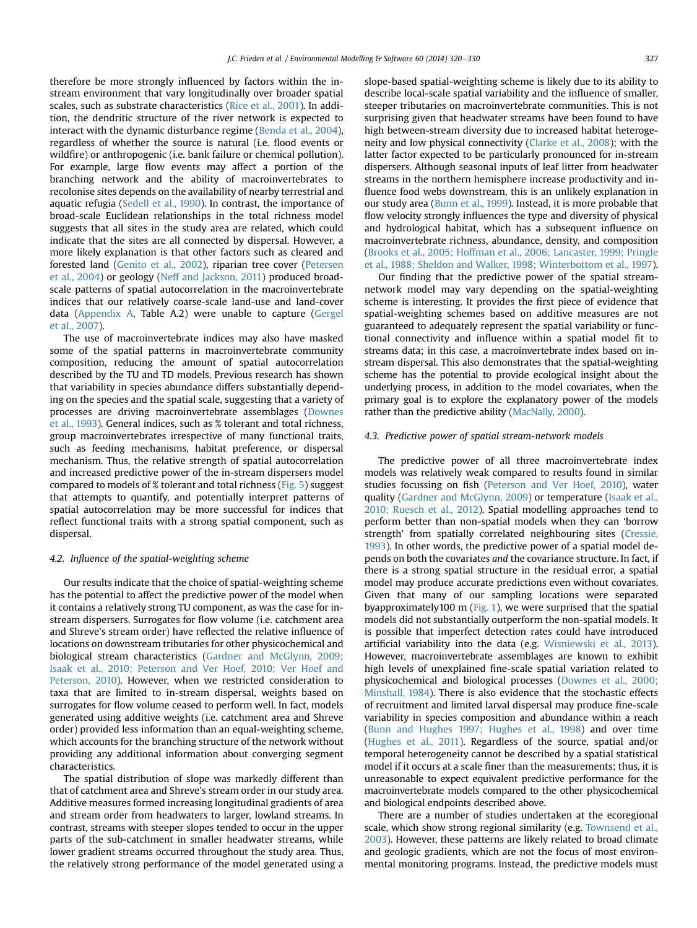therefore be more strongly influenced by factors within the instream environment that vary longitudinally over broader spatial scales, such as substrate characteristics [\(Rice et al., 2001](#page-10-0)). In addition, the dendritic structure of the river network is expected to interact with the dynamic disturbance regime [\(Benda et al., 2004\)](#page-8-0), regardless of whether the source is natural (i.e. flood events or wildfire) or anthropogenic (i.e. bank failure or chemical pollution). For example, large flow events may affect a portion of the branching network and the ability of macroinvertebrates to recolonise sites depends on the availability of nearby terrestrial and aquatic refugia ([Sedell et al., 1990](#page-10-0)). In contrast, the importance of broad-scale Euclidean relationships in the total richness model suggests that all sites in the study area are related, which could indicate that the sites are all connected by dispersal. However, a more likely explanation is that other factors such as cleared and forested land [\(Genito et al., 2002](#page-9-0)), riparian tree cover [\(Petersen](#page-9-0) [et al., 2004](#page-9-0)) or geology [\(Neff and Jackson, 2011\)](#page-9-0) produced broadscale patterns of spatial autocorrelation in the macroinvertebrate indices that our relatively coarse-scale land-use and land-cover data (Appendix A, Table A.2) were unable to capture [\(Gergel](#page-9-0) [et al., 2007](#page-9-0)).

The use of macroinvertebrate indices may also have masked some of the spatial patterns in macroinvertebrate community composition, reducing the amount of spatial autocorrelation described by the TU and TD models. Previous research has shown that variability in species abundance differs substantially depending on the species and the spatial scale, suggesting that a variety of processes are driving macroinvertebrate assemblages [\(Downes](#page-9-0) [et al., 1993](#page-9-0)). General indices, such as % tolerant and total richness, group macroinvertebrates irrespective of many functional traits, such as feeding mechanisms, habitat preference, or dispersal mechanism. Thus, the relative strength of spatial autocorrelation and increased predictive power of the in-stream dispersers model compared to models of % tolerant and total richness ([Fig. 5](#page-6-0)) suggest that attempts to quantify, and potentially interpret patterns of spatial autocorrelation may be more successful for indices that reflect functional traits with a strong spatial component, such as dispersal.

# 4.2. Influence of the spatial-weighting scheme

Our results indicate that the choice of spatial-weighting scheme has the potential to affect the predictive power of the model when it contains a relatively strong TU component, as was the case for instream dispersers. Surrogates for flow volume (i.e. catchment area and Shreve's stream order) have reflected the relative influence of locations on downstream tributaries for other physicochemical and biological stream characteristics [\(Gardner and McGlynn, 2009;](#page-9-0) [Isaak et al., 2010; Peterson and Ver Hoef, 2010; Ver Hoef and](#page-9-0) [Peterson, 2010\)](#page-9-0). However, when we restricted consideration to taxa that are limited to in-stream dispersal, weights based on surrogates for flow volume ceased to perform well. In fact, models generated using additive weights (i.e. catchment area and Shreve order) provided less information than an equal-weighting scheme, which accounts for the branching structure of the network without providing any additional information about converging segment characteristics.

The spatial distribution of slope was markedly different than that of catchment area and Shreve's stream order in our study area. Additive measures formed increasing longitudinal gradients of area and stream order from headwaters to larger, lowland streams. In contrast, streams with steeper slopes tended to occur in the upper parts of the sub-catchment in smaller headwater streams, while lower gradient streams occurred throughout the study area. Thus, the relatively strong performance of the model generated using a slope-based spatial-weighting scheme is likely due to its ability to describe local-scale spatial variability and the influence of smaller, steeper tributaries on macroinvertebrate communities. This is not surprising given that headwater streams have been found to have high between-stream diversity due to increased habitat heterogeneity and low physical connectivity ([Clarke et al., 2008](#page-9-0)); with the latter factor expected to be particularly pronounced for in-stream dispersers. Although seasonal inputs of leaf litter from headwater streams in the northern hemisphere increase productivity and influence food webs downstream, this is an unlikely explanation in our study area [\(Bunn et al., 1999](#page-9-0)). Instead, it is more probable that flow velocity strongly influences the type and diversity of physical and hydrological habitat, which has a subsequent influence on macroinvertebrate richness, abundance, density, and composition ([Brooks et al., 2005; Hoffman et al., 2006; Lancaster, 1999; Pringle](#page-9-0) [et al., 1988; Sheldon and Walker, 1998; Winterbottom et al., 1997\)](#page-9-0).

Our finding that the predictive power of the spatial streamnetwork model may vary depending on the spatial-weighting scheme is interesting. It provides the first piece of evidence that spatial-weighting schemes based on additive measures are not guaranteed to adequately represent the spatial variability or functional connectivity and influence within a spatial model fit to streams data; in this case, a macroinvertebrate index based on instream dispersal. This also demonstrates that the spatial-weighting scheme has the potential to provide ecological insight about the underlying process, in addition to the model covariates, when the primary goal is to explore the explanatory power of the models rather than the predictive ability [\(MacNally, 2000\)](#page-9-0).

# 4.3. Predictive power of spatial stream-network models

The predictive power of all three macroinvertebrate index models was relatively weak compared to results found in similar studies focussing on fish ([Peterson and Ver Hoef, 2010\)](#page-9-0), water quality [\(Gardner and McGlynn, 2009](#page-9-0)) or temperature [\(Isaak et al.,](#page-9-0) [2010; Ruesch et al., 2012](#page-9-0)). Spatial modelling approaches tend to perform better than non-spatial models when they can 'borrow strength' from spatially correlated neighbouring sites [\(Cressie,](#page-9-0) [1993\)](#page-9-0). In other words, the predictive power of a spatial model depends on both the covariates and the covariance structure. In fact, if there is a strong spatial structure in the residual error, a spatial model may produce accurate predictions even without covariates. Given that many of our sampling locations were separated byapproximately100 m ([Fig. 1](#page-2-0)), we were surprised that the spatial models did not substantially outperform the non-spatial models. It is possible that imperfect detection rates could have introduced artificial variability into the data (e.g. [Wisniewski et al., 2013\)](#page-10-0). However, macroinvertebrate assemblages are known to exhibit high levels of unexplained fine-scale spatial variation related to physicochemical and biological processes ([Downes et al., 2000;](#page-9-0) [Minshall, 1984](#page-9-0)). There is also evidence that the stochastic effects of recruitment and limited larval dispersal may produce fine-scale variability in species composition and abundance within a reach ([Bunn and Hughes 1997; Hughes et al., 1998\)](#page-9-0) and over time ([Hughes et al., 2011\)](#page-9-0). Regardless of the source, spatial and/or temporal heterogeneity cannot be described by a spatial statistical model if it occurs at a scale finer than the measurements; thus, it is unreasonable to expect equivalent predictive performance for the macroinvertebrate models compared to the other physicochemical and biological endpoints described above.

There are a number of studies undertaken at the ecoregional scale, which show strong regional similarity (e.g. [Townsend et al.,](#page-10-0) [2003\)](#page-10-0). However, these patterns are likely related to broad climate and geologic gradients, which are not the focus of most environmental monitoring programs. Instead, the predictive models must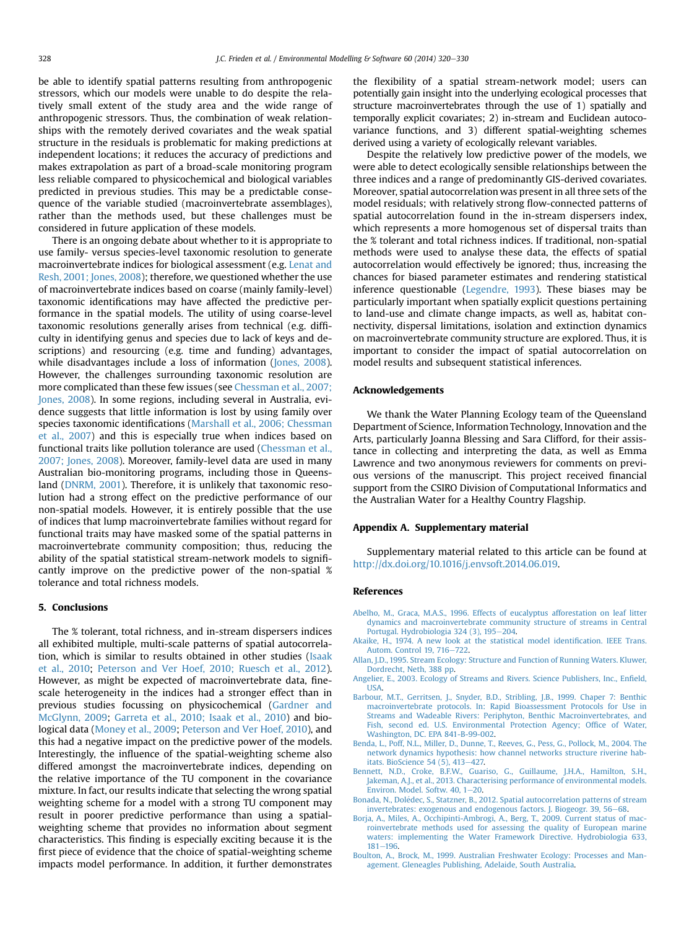<span id="page-8-0"></span>be able to identify spatial patterns resulting from anthropogenic stressors, which our models were unable to do despite the relatively small extent of the study area and the wide range of anthropogenic stressors. Thus, the combination of weak relationships with the remotely derived covariates and the weak spatial structure in the residuals is problematic for making predictions at independent locations; it reduces the accuracy of predictions and makes extrapolation as part of a broad-scale monitoring program less reliable compared to physicochemical and biological variables predicted in previous studies. This may be a predictable consequence of the variable studied (macroinvertebrate assemblages), rather than the methods used, but these challenges must be considered in future application of these models.

There is an ongoing debate about whether to it is appropriate to use family- versus species-level taxonomic resolution to generate macroinvertebrate indices for biological assessment (e.g. [Lenat and](#page-9-0) [Resh, 2001; Jones, 2008\)](#page-9-0); therefore, we questioned whether the use of macroinvertebrate indices based on coarse (mainly family-level) taxonomic identifications may have affected the predictive performance in the spatial models. The utility of using coarse-level taxonomic resolutions generally arises from technical (e.g. difficulty in identifying genus and species due to lack of keys and descriptions) and resourcing (e.g. time and funding) advantages, while disadvantages include a loss of information [\(Jones, 2008\)](#page-9-0). However, the challenges surrounding taxonomic resolution are more complicated than these few issues (see [Chessman et al., 2007;](#page-9-0) [Jones, 2008](#page-9-0)). In some regions, including several in Australia, evidence suggests that little information is lost by using family over species taxonomic identifications ([Marshall et al., 2006; Chessman](#page-9-0) [et al., 2007\)](#page-9-0) and this is especially true when indices based on functional traits like pollution tolerance are used [\(Chessman et al.,](#page-9-0) [2007; Jones, 2008\)](#page-9-0). Moreover, family-level data are used in many Australian bio-monitoring programs, including those in Queensland [\(DNRM, 2001\)](#page-9-0). Therefore, it is unlikely that taxonomic resolution had a strong effect on the predictive performance of our non-spatial models. However, it is entirely possible that the use of indices that lump macroinvertebrate families without regard for functional traits may have masked some of the spatial patterns in macroinvertebrate community composition; thus, reducing the ability of the spatial statistical stream-network models to significantly improve on the predictive power of the non-spatial % tolerance and total richness models.

# 5. Conclusions

The % tolerant, total richness, and in-stream dispersers indices all exhibited multiple, multi-scale patterns of spatial autocorrelation, which is similar to results obtained in other studies ([Isaak](#page-9-0) [et al., 2010;](#page-9-0) [Peterson and Ver Hoef, 2010; Ruesch et al., 2012\)](#page-9-0). However, as might be expected of macroinvertebrate data, finescale heterogeneity in the indices had a stronger effect than in previous studies focussing on physicochemical ([Gardner and](#page-9-0) [McGlynn, 2009;](#page-9-0) [Garreta et al., 2010; Isaak et al., 2010\)](#page-9-0) and biological data [\(Money et al., 2009;](#page-9-0) [Peterson and Ver Hoef, 2010\)](#page-9-0), and this had a negative impact on the predictive power of the models. Interestingly, the influence of the spatial-weighting scheme also differed amongst the macroinvertebrate indices, depending on the relative importance of the TU component in the covariance mixture. In fact, our results indicate that selecting the wrong spatial weighting scheme for a model with a strong TU component may result in poorer predictive performance than using a spatialweighting scheme that provides no information about segment characteristics. This finding is especially exciting because it is the first piece of evidence that the choice of spatial-weighting scheme impacts model performance. In addition, it further demonstrates the flexibility of a spatial stream-network model; users can potentially gain insight into the underlying ecological processes that structure macroinvertebrates through the use of 1) spatially and temporally explicit covariates; 2) in-stream and Euclidean autocovariance functions, and 3) different spatial-weighting schemes derived using a variety of ecologically relevant variables.

Despite the relatively low predictive power of the models, we were able to detect ecologically sensible relationships between the three indices and a range of predominantly GIS-derived covariates. Moreover, spatial autocorrelation was present in all three sets of the model residuals; with relatively strong flow-connected patterns of spatial autocorrelation found in the in-stream dispersers index, which represents a more homogenous set of dispersal traits than the % tolerant and total richness indices. If traditional, non-spatial methods were used to analyse these data, the effects of spatial autocorrelation would effectively be ignored; thus, increasing the chances for biased parameter estimates and rendering statistical inference questionable [\(Legendre, 1993\)](#page-9-0). These biases may be particularly important when spatially explicit questions pertaining to land-use and climate change impacts, as well as, habitat connectivity, dispersal limitations, isolation and extinction dynamics on macroinvertebrate community structure are explored. Thus, it is important to consider the impact of spatial autocorrelation on model results and subsequent statistical inferences.

# Acknowledgements

We thank the Water Planning Ecology team of the Queensland Department of Science, Information Technology, Innovation and the Arts, particularly Joanna Blessing and Sara Clifford, for their assistance in collecting and interpreting the data, as well as Emma Lawrence and two anonymous reviewers for comments on previous versions of the manuscript. This project received financial support from the CSIRO Division of Computational Informatics and the Australian Water for a Healthy Country Flagship.

#### Appendix A. Supplementary material

Supplementary material related to this article can be found at [http://dx.doi.org/10.1016/j.envsoft.2014.06.019.](http://dx.doi.org/10.1016/j.envsoft.2014.06.019)

# References

- [Abelho, M., Graca, M.A.S., 1996. Effects of eucalyptus afforestation on leaf litter](http://refhub.elsevier.com/S1364-8152(14)00184-4/sref1) [dynamics and macroinvertebrate community structure of streams in Central](http://refhub.elsevier.com/S1364-8152(14)00184-4/sref1) [Portugal. Hydrobiologia 324 \(3\), 195](http://refhub.elsevier.com/S1364-8152(14)00184-4/sref1)-[204.](http://refhub.elsevier.com/S1364-8152(14)00184-4/sref1)
- [Akaike, H., 1974. A new look at the statistical model identi](http://refhub.elsevier.com/S1364-8152(14)00184-4/sref2)fication. IEEE Trans. [Autom. Control 19, 716](http://refhub.elsevier.com/S1364-8152(14)00184-4/sref2)-[722](http://refhub.elsevier.com/S1364-8152(14)00184-4/sref2).
- [Allan, J.D., 1995. Stream Ecology: Structure and Function of Running Waters. Kluwer,](http://refhub.elsevier.com/S1364-8152(14)00184-4/sref97) [Dordrecht, Neth, 388 pp.](http://refhub.elsevier.com/S1364-8152(14)00184-4/sref97)
- [Angelier, E., 2003. Ecology of Streams and Rivers. Science Publishers, Inc., En](http://refhub.elsevier.com/S1364-8152(14)00184-4/sref4)field, [USA](http://refhub.elsevier.com/S1364-8152(14)00184-4/sref4).
- [Barbour, M.T., Gerritsen, J., Snyder, B.D., Stribling, J.B., 1999. Chaper 7: Benthic](http://refhub.elsevier.com/S1364-8152(14)00184-4/sref5) [macroinvertebrate protocols. In: Rapid Bioassessment Protocols for Use in](http://refhub.elsevier.com/S1364-8152(14)00184-4/sref5) [Streams and Wadeable Rivers: Periphyton, Benthic Macroinvertebrates, and](http://refhub.elsevier.com/S1364-8152(14)00184-4/sref5) [Fish, second ed. U.S. Environmental Protection Agency; Of](http://refhub.elsevier.com/S1364-8152(14)00184-4/sref5)fice of Water, [Washington, DC. EPA 841-B-99-002](http://refhub.elsevier.com/S1364-8152(14)00184-4/sref5).
- [Benda, L., Poff, N.L., Miller, D., Dunne, T., Reeves, G., Pess, G., Pollock, M., 2004. The](http://refhub.elsevier.com/S1364-8152(14)00184-4/sref98) [network dynamics hypothesis: how channel networks structure riverine hab](http://refhub.elsevier.com/S1364-8152(14)00184-4/sref98)[itats. BioScience 54 \(5\), 413](http://refhub.elsevier.com/S1364-8152(14)00184-4/sref98)-[427.](http://refhub.elsevier.com/S1364-8152(14)00184-4/sref98)
- [Bennett, N.D., Croke, B.F.W., Guariso, G., Guillaume, J.H.A., Hamilton, S.H.,](http://refhub.elsevier.com/S1364-8152(14)00184-4/sref6) [Jakeman, A.J., et al., 2013. Characterising performance of environmental models.](http://refhub.elsevier.com/S1364-8152(14)00184-4/sref6) Environ. Model. Softw.  $40, 1-20$ .
- [Bonada, N., Dol](http://refhub.elsevier.com/S1364-8152(14)00184-4/sref7)é[dec, S., Statzner, B., 2012. Spatial autocorrelation patterns of stream](http://refhub.elsevier.com/S1364-8152(14)00184-4/sref7) [invertebrates: exogenous and endogenous factors. J. Biogeogr. 39, 56](http://refhub.elsevier.com/S1364-8152(14)00184-4/sref7)-[68](http://refhub.elsevier.com/S1364-8152(14)00184-4/sref7).
- [Borja, A., Miles, A., Occhipinti-Ambrogi, A., Berg, T., 2009. Current status of mac](http://refhub.elsevier.com/S1364-8152(14)00184-4/sref8)[roinvertebrate methods used for assessing the quality of European marine](http://refhub.elsevier.com/S1364-8152(14)00184-4/sref8) [waters: implementing the Water Framework Directive. Hydrobiologia 633,](http://refhub.elsevier.com/S1364-8152(14)00184-4/sref8) [181](http://refhub.elsevier.com/S1364-8152(14)00184-4/sref8)-196
- [Boulton, A., Brock, M., 1999. Australian Freshwater Ecology: Processes and Man](http://refhub.elsevier.com/S1364-8152(14)00184-4/sref9)[agement. Gleneagles Publishing, Adelaide, South Australia.](http://refhub.elsevier.com/S1364-8152(14)00184-4/sref9)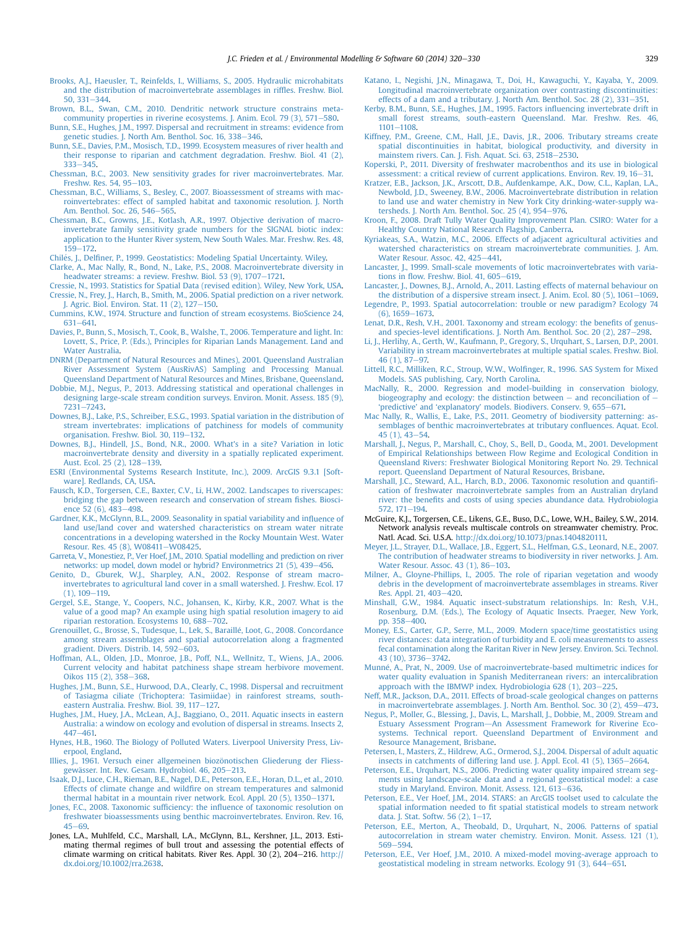- <span id="page-9-0"></span>[Brooks, A.J., Haeusler, T., Reinfelds, I., Williams, S., 2005. Hydraulic microhabitats](http://refhub.elsevier.com/S1364-8152(14)00184-4/sref10) [and the distribution of macroinvertebrate assemblages in rif](http://refhub.elsevier.com/S1364-8152(14)00184-4/sref10)fles. Freshw. Biol.  $50, 331 - 344.$  $50, 331 - 344.$  $50, 331 - 344.$
- [Brown, B.L., Swan, C.M., 2010. Dendritic network structure constrains meta](http://refhub.elsevier.com/S1364-8152(14)00184-4/sref11)community properties in riverine ecosystems. J. Anim. Ecol.  $79(3)$ ,  $571-580$ .

[Bunn, S.E., Hughes, J.M., 1997. Dispersal and recruitment in streams: evidence from](http://refhub.elsevier.com/S1364-8152(14)00184-4/sref12) [genetic studies. J. North Am. Benthol. Soc. 16, 338](http://refhub.elsevier.com/S1364-8152(14)00184-4/sref12)-[346.](http://refhub.elsevier.com/S1364-8152(14)00184-4/sref12)

- [Bunn, S.E., Davies, P.M., Mosisch, T.D., 1999. Ecosystem measures of river health and](http://refhub.elsevier.com/S1364-8152(14)00184-4/sref13) [their response to riparian and catchment degradation. Freshw. Biol. 41 \(2\),](http://refhub.elsevier.com/S1364-8152(14)00184-4/sref13)  $333 - 345$  $333 - 345$  $333 - 345$
- [Chessman, B.C., 2003. New sensitivity grades for river macroinvertebrates. Mar.](http://refhub.elsevier.com/S1364-8152(14)00184-4/sref14) [Freshw. Res. 54, 95](http://refhub.elsevier.com/S1364-8152(14)00184-4/sref14)-[103](http://refhub.elsevier.com/S1364-8152(14)00184-4/sref14).
- [Chessman, B.C., Williams, S., Besley, C., 2007. Bioassessment of streams with mac](http://refhub.elsevier.com/S1364-8152(14)00184-4/sref15)[roinvertebrates: effect of sampled habitat and taxonomic resolution. J. North](http://refhub.elsevier.com/S1364-8152(14)00184-4/sref15) Am. Benthol. Soc.  $26, 546 - 565$ .
- [Chessman, B.C., Growns, J.E., Kotlash, A.R., 1997. Objective derivation of macro](http://refhub.elsevier.com/S1364-8152(14)00184-4/sref16)[invertebrate family sensitivity grade numbers for the SIGNAL biotic index:](http://refhub.elsevier.com/S1364-8152(14)00184-4/sref16) [application to the Hunter River system, New South Wales. Mar. Freshw. Res. 48,](http://refhub.elsevier.com/S1364-8152(14)00184-4/sref16) [159](http://refhub.elsevier.com/S1364-8152(14)00184-4/sref16)-[172.](http://refhub.elsevier.com/S1364-8152(14)00184-4/sref16)
- [Chil](http://refhub.elsevier.com/S1364-8152(14)00184-4/sref17)es, J., Del fi[ner, P., 1999. Geostatistics: Modeling Spatial Uncertainty. Wiley.](http://refhub.elsevier.com/S1364-8152(14)00184-4/sref17)
- [Clarke, A., Mac Nally, R., Bond, N., Lake, P.S., 2008. Macroinvertebrate diversity in](http://refhub.elsevier.com/S1364-8152(14)00184-4/sref18) [headwater streams: a review. Freshw. Biol. 53 \(9\), 1707](http://refhub.elsevier.com/S1364-8152(14)00184-4/sref18)-[1721.](http://refhub.elsevier.com/S1364-8152(14)00184-4/sref18)
- [Cressie, N., 1993. Statistics for Spatial Data \(revised edition\). Wiley, New York, USA](http://refhub.elsevier.com/S1364-8152(14)00184-4/sref19). [Cressie, N., Frey, J., Harch, B., Smith, M., 2006. Spatial prediction on a river network.](http://refhub.elsevier.com/S1364-8152(14)00184-4/sref20) [J. Agric. Biol. Environ. Stat. 11 \(2\), 127](http://refhub.elsevier.com/S1364-8152(14)00184-4/sref20)-[150.](http://refhub.elsevier.com/S1364-8152(14)00184-4/sref20)
- [Cummins, K.W., 1974. Structure and function of stream ecosystems. BioScience 24,](http://refhub.elsevier.com/S1364-8152(14)00184-4/sref21)  $631 - 641$  $631 - 641$
- [Davies, P., Bunn, S., Mosisch, T., Cook, B., Walshe, T., 2006. Temperature and light. In:](http://refhub.elsevier.com/S1364-8152(14)00184-4/sref22) [Lovett, S., Price, P. \(Eds.\), Principles for Riparian Lands Management. Land and](http://refhub.elsevier.com/S1364-8152(14)00184-4/sref22) [Water Australia.](http://refhub.elsevier.com/S1364-8152(14)00184-4/sref22)
- [DNRM \(Department of Natural Resources and Mines\), 2001. Queensland Australian](http://refhub.elsevier.com/S1364-8152(14)00184-4/sref23) [River Assessment System \(AusRivAS\) Sampling and Processing Manual.](http://refhub.elsevier.com/S1364-8152(14)00184-4/sref23) [Queensland Department of Natural Resources and Mines, Brisbane, Queensland](http://refhub.elsevier.com/S1364-8152(14)00184-4/sref23).
- [Dobbie, M.J., Negus, P., 2013. Addressing statistical and operational challenges in](http://refhub.elsevier.com/S1364-8152(14)00184-4/sref24) [designing large-scale stream condition surveys. Environ. Monit. Assess. 185 \(9\),](http://refhub.elsevier.com/S1364-8152(14)00184-4/sref24) [7231](http://refhub.elsevier.com/S1364-8152(14)00184-4/sref24)-[7243.](http://refhub.elsevier.com/S1364-8152(14)00184-4/sref24)
- [Downes, B.J., Lake, P.S., Schreiber, E.S.G., 1993. Spatial variation in the distribution of](http://refhub.elsevier.com/S1364-8152(14)00184-4/sref25) [stream invertebrates: implications of patchiness for models of community](http://refhub.elsevier.com/S1364-8152(14)00184-4/sref25) [organisation. Freshw. Biol. 30, 119](http://refhub.elsevier.com/S1364-8152(14)00184-4/sref25)-[132](http://refhub.elsevier.com/S1364-8152(14)00184-4/sref25).
- [Downes, B.J., Hindell, J.S., Bond, N.R., 2000. What's in a site? Variation in lotic](http://refhub.elsevier.com/S1364-8152(14)00184-4/sref26) [macroinvertebrate density and diversity in a spatially replicated experiment.](http://refhub.elsevier.com/S1364-8152(14)00184-4/sref26) [Aust. Ecol. 25 \(2\), 128](http://refhub.elsevier.com/S1364-8152(14)00184-4/sref26)-[139.](http://refhub.elsevier.com/S1364-8152(14)00184-4/sref26)
- [ESRI \(Environmental Systems Research Institute, Inc.\), 2009. ArcGIS 9.3.1 \[Soft](http://refhub.elsevier.com/S1364-8152(14)00184-4/sref27)[ware\]. Redlands, CA, USA](http://refhub.elsevier.com/S1364-8152(14)00184-4/sref27).
- [Fausch, K.D., Torgersen, C.E., Baxter, C.V., Li, H.W., 2002. Landscapes to riverscapes:](http://refhub.elsevier.com/S1364-8152(14)00184-4/sref28) [bridging the gap between research and conservation of stream](http://refhub.elsevier.com/S1364-8152(14)00184-4/sref28) fishes. Biosci[ence 52 \(6\), 483](http://refhub.elsevier.com/S1364-8152(14)00184-4/sref28)-[498.](http://refhub.elsevier.com/S1364-8152(14)00184-4/sref28)
- [Gardner, K.K., McGlynn, B.L., 2009. Seasonality in spatial variability and in](http://refhub.elsevier.com/S1364-8152(14)00184-4/sref29)fluence of [land use/land cover and watershed characteristics on stream water nitrate](http://refhub.elsevier.com/S1364-8152(14)00184-4/sref29) [concentrations in a developing watershed in the Rocky Mountain West. Water](http://refhub.elsevier.com/S1364-8152(14)00184-4/sref29) [Resour. Res. 45 \(8\), W08411](http://refhub.elsevier.com/S1364-8152(14)00184-4/sref29)-[W08425](http://refhub.elsevier.com/S1364-8152(14)00184-4/sref29).
- [Garreta, V., Monestiez, P., Ver Hoef, J.M., 2010. Spatial modelling and prediction on river](http://refhub.elsevier.com/S1364-8152(14)00184-4/sref30) [networks: up model, down model or hybrid? Environmetrics 21 \(5\), 439](http://refhub.elsevier.com/S1364-8152(14)00184-4/sref30)-[456](http://refhub.elsevier.com/S1364-8152(14)00184-4/sref30).
- [Genito, D., Gburek, W.J., Sharpley, A.N., 2002. Response of stream macro](http://refhub.elsevier.com/S1364-8152(14)00184-4/sref31)[invertebrates to agricultural land cover in a small watershed. J. Freshw. Ecol. 17](http://refhub.elsevier.com/S1364-8152(14)00184-4/sref31)  $(1), 109 - 119.$  $(1), 109 - 119.$  $(1), 109 - 119.$  $(1), 109 - 119.$
- [Gergel, S.E., Stange, Y., Coopers, N.C., Johansen, K., Kirby, K.R., 2007. What is the](http://refhub.elsevier.com/S1364-8152(14)00184-4/sref32) [value of a good map? An example using high spatial resolution imagery to aid](http://refhub.elsevier.com/S1364-8152(14)00184-4/sref32) [riparian restoration. Ecosystems 10, 688](http://refhub.elsevier.com/S1364-8152(14)00184-4/sref32)-[702](http://refhub.elsevier.com/S1364-8152(14)00184-4/sref32).
- [Grenouillet, G., Brosse, S., Tudesque, L., Lek, S., Baraille, Loot, G., 2008. Concordance](http://refhub.elsevier.com/S1364-8152(14)00184-4/sref33) [among stream assemblages and spatial autocorrelation along a fragmented](http://refhub.elsevier.com/S1364-8152(14)00184-4/sref33) [gradient. Divers. Distrib. 14, 592](http://refhub.elsevier.com/S1364-8152(14)00184-4/sref33)-[603.](http://refhub.elsevier.com/S1364-8152(14)00184-4/sref33)
- [Hoffman, A.L., Olden, J.D., Monroe, J.B., Poff, N.L., Wellnitz, T., Wiens, J.A., 2006.](http://refhub.elsevier.com/S1364-8152(14)00184-4/sref34) [Current velocity and habitat patchiness shape stream herbivore movement.](http://refhub.elsevier.com/S1364-8152(14)00184-4/sref34) [Oikos 115 \(2\), 358](http://refhub.elsevier.com/S1364-8152(14)00184-4/sref34)-[368](http://refhub.elsevier.com/S1364-8152(14)00184-4/sref34).
- [Hughes, J.M., Bunn, S.E., Hurwood, D.A., Clearly, C., 1998. Dispersal and recruitment](http://refhub.elsevier.com/S1364-8152(14)00184-4/sref35) [of Tasiagma ciliate \(Trichoptera: Tasimiidae\) in rainforest streams, south](http://refhub.elsevier.com/S1364-8152(14)00184-4/sref35)[eastern Australia. Freshw. Biol. 39, 117](http://refhub.elsevier.com/S1364-8152(14)00184-4/sref35)-[127.](http://refhub.elsevier.com/S1364-8152(14)00184-4/sref35)
- [Hughes, J.M., Huey, J.A., McLean, A.J., Baggiano, O., 2011. Aquatic insects in eastern](http://refhub.elsevier.com/S1364-8152(14)00184-4/sref36) [Australia: a window on ecology and evolution of dispersal in streams. Insects 2,](http://refhub.elsevier.com/S1364-8152(14)00184-4/sref36) [447](http://refhub.elsevier.com/S1364-8152(14)00184-4/sref36)-[461.](http://refhub.elsevier.com/S1364-8152(14)00184-4/sref36)
- [Hynes, H.B., 1960. The Biology of Polluted Waters. Liverpool University Press, Liv](http://refhub.elsevier.com/S1364-8152(14)00184-4/sref37)[erpool, England](http://refhub.elsevier.com/S1364-8152(14)00184-4/sref37).
- Illies, J., 1961. Versuch einer allgemeinen biozönotischen Gliederung der Fliess-gewässer. Int. Rev. Gesam. Hydrobiol. 46, 205-[213.](http://refhub.elsevier.com/S1364-8152(14)00184-4/sref38)
- [Isaak, D.J., Luce, C.H., Rieman, B.E., Nagel, D.E., Peterson, E.E., Horan, D.L., et al., 2010.](http://refhub.elsevier.com/S1364-8152(14)00184-4/sref39) Effects of climate change and wildfi[re on stream temperatures and salmonid](http://refhub.elsevier.com/S1364-8152(14)00184-4/sref39) [thermal habitat in a mountain river network. Ecol. Appl. 20 \(5\), 1350](http://refhub.elsevier.com/S1364-8152(14)00184-4/sref39)-[1371.](http://refhub.elsevier.com/S1364-8152(14)00184-4/sref39)
- Jones, F.C., 2008. Taxonomic sufficiency: the infl[uence of taxonomic resolution on](http://refhub.elsevier.com/S1364-8152(14)00184-4/sref40) [freshwater bioassessments using benthic macroinvertebrates. Environ. Rev. 16,](http://refhub.elsevier.com/S1364-8152(14)00184-4/sref40)  $45 - 69.$  $45 - 69.$  $45 - 69.$
- Jones, L.A., Muhlfeld, C.C., Marshall, L.A., McGlynn, B.L., Kershner, J.L., 2013. Estimating thermal regimes of bull trout and assessing the potential effects of climate warming on critical habitats. River Res. Appl. 30 (2), 204-216. [http://](http://dx.doi.org/10.1002/rra.2638) [dx.doi.org/10.1002/rra.2638.](http://dx.doi.org/10.1002/rra.2638)
- [Katano, I., Negishi, J.N., Minagawa, T., Doi, H., Kawaguchi, Y., Kayaba, Y., 2009.](http://refhub.elsevier.com/S1364-8152(14)00184-4/sref42) [Longitudinal macroinvertebrate organization over contrasting discontinuities:](http://refhub.elsevier.com/S1364-8152(14)00184-4/sref42) effects of a dam and a tributary. J. North Am. Benthol. Soc.  $28$  (2),  $331-351$ .
- [Kerby, B.M., Bunn, S.E., Hughes, J.M., 1995. Factors in](http://refhub.elsevier.com/S1364-8152(14)00184-4/sref43)fluencing invertebrate drift in [small forest streams, south-eastern Queensland. Mar. Freshw. Res. 46,](http://refhub.elsevier.com/S1364-8152(14)00184-4/sref43)  $1101 - 1108$  $1101 - 1108$
- [Kiffney, P.M., Greene, C.M., Hall, J.E., Davis, J.R., 2006. Tributary streams create](http://refhub.elsevier.com/S1364-8152(14)00184-4/sref44) [spatial discontinuities in habitat, biological productivity, and diversity in](http://refhub.elsevier.com/S1364-8152(14)00184-4/sref44) mainstem rivers. Can. I. Fish. Aquat. Sci.  $63, 2518 - 2530$ .
- [Koperski, P., 2011. Diversity of freshwater macrobenthos and its use in biological](http://refhub.elsevier.com/S1364-8152(14)00184-4/sref45) assessment: a critical review of current applications. Environ. Rev.  $19.16-31$ .
- [Kratzer, E.B., Jackson, J.K., Arscott, D.B., Aufdenkampe, A.K., Dow, C.L., Kaplan, L.A.,](http://refhub.elsevier.com/S1364-8152(14)00184-4/sref46) [Newbold, J.D., Sweeney, B.W., 2006. Macroinvertebrate distribution in relation](http://refhub.elsevier.com/S1364-8152(14)00184-4/sref46) to land use and water chemistry in New York City drinking-water-supply wa-<br>[tersheds. J. North Am. Benthol. Soc. 25 \(4\), 954](http://refhub.elsevier.com/S1364-8152(14)00184-4/sref46)–[976](http://refhub.elsevier.com/S1364-8152(14)00184-4/sref46).
- [Kroon, F., 2008. Draft Tully Water Quality Improvement Plan. CSIRO: Water for a](http://refhub.elsevier.com/S1364-8152(14)00184-4/sref47) [Healthy Country National Research Flagship, Canberra](http://refhub.elsevier.com/S1364-8152(14)00184-4/sref47).
- [Kyriakeas, S.A., Watzin, M.C., 2006. Effects of adjacent agricultural activities and](http://refhub.elsevier.com/S1364-8152(14)00184-4/sref48) [watershed characteristics on stream macroinvertebrate communities. J. Am.](http://refhub.elsevier.com/S1364-8152(14)00184-4/sref48) [Water Resour. Assoc. 42, 425](http://refhub.elsevier.com/S1364-8152(14)00184-4/sref48)-[441.](http://refhub.elsevier.com/S1364-8152(14)00184-4/sref48)
- [Lancaster, J., 1999. Small-scale movements of lotic macroinvertebrates with varia](http://refhub.elsevier.com/S1364-8152(14)00184-4/sref49)tions in flow. Freshw. Biol.  $41,605-619$ .
- [Lancaster, J., Downes, B.J., Arnold, A., 2011. Lasting effects of maternal behaviour on](http://refhub.elsevier.com/S1364-8152(14)00184-4/sref50) the distribution of a dispersive stream insect. J. Anim. Ecol. 80  $(5)$ , 1061-[1069](http://refhub.elsevier.com/S1364-8152(14)00184-4/sref50).
- [Legendre, P., 1993. Spatial autocorrelation: trouble or new paradigm? Ecology 74](http://refhub.elsevier.com/S1364-8152(14)00184-4/sref51)  $(6)$ , 1659-[1673](http://refhub.elsevier.com/S1364-8152(14)00184-4/sref51).
- [Lenat, D.R., Resh, V.H., 2001. Taxonomy and stream ecology: the bene](http://refhub.elsevier.com/S1364-8152(14)00184-4/sref52)fits of genus-<br>and species-level identifi[cations. J. North Am. Benthol. Soc. 20 \(2\), 287](http://refhub.elsevier.com/S1364-8152(14)00184-4/sref52)–[298](http://refhub.elsevier.com/S1364-8152(14)00184-4/sref52).
- [Li, J., Herlihy, A., Gerth, W., Kaufmann, P., Gregory, S., Urquhart, S., Larsen, D.P., 2001.](http://refhub.elsevier.com/S1364-8152(14)00184-4/sref53) [Variability in stream macroinvertebrates at multiple spatial scales. Freshw. Biol.](http://refhub.elsevier.com/S1364-8152(14)00184-4/sref53) [46 \(1\), 87](http://refhub.elsevier.com/S1364-8152(14)00184-4/sref53)-[97.](http://refhub.elsevier.com/S1364-8152(14)00184-4/sref53)
- [Littell, R.C., Milliken, R.C., Stroup, W.W., Wol](http://refhub.elsevier.com/S1364-8152(14)00184-4/sref54)finger, R., 1996. SAS System for Mixed [Models. SAS publishing, Cary, North Carolina](http://refhub.elsevier.com/S1364-8152(14)00184-4/sref54).
- [MacNally, R., 2000. Regression and model-building in conservation biology,](http://refhub.elsevier.com/S1364-8152(14)00184-4/sref55) [biogeography and ecology: the distinction between](http://refhub.elsevier.com/S1364-8152(14)00184-4/sref55)  $-$  [and reconciliation of](http://refhub.elsevier.com/S1364-8152(14)00184-4/sref55)  $$ 'predictive' and 'explanatory' [models. Biodivers. Conserv. 9, 655](http://refhub.elsevier.com/S1364-8152(14)00184-4/sref55)-[671.](http://refhub.elsevier.com/S1364-8152(14)00184-4/sref55)
- [Mac Nally, R., Wallis, E., Lake, P.S., 2011. Geometry of biodiversity patterning: as](http://refhub.elsevier.com/S1364-8152(14)00184-4/sref56)[semblages of benthic macroinvertebrates at tributary con](http://refhub.elsevier.com/S1364-8152(14)00184-4/sref56)fluences. Aquat. Ecol.  $45(1), 43-54.$  $45(1), 43-54.$
- [Marshall, J., Negus, P., Marshall, C., Choy, S., Bell, D., Gooda, M., 2001. Development](http://refhub.elsevier.com/S1364-8152(14)00184-4/sref57) [of Empirical Relationships between Flow Regime and Ecological Condition in](http://refhub.elsevier.com/S1364-8152(14)00184-4/sref57) [Queensland Rivers: Freshwater Biological Monitoring Report No. 29. Technical](http://refhub.elsevier.com/S1364-8152(14)00184-4/sref57) [report. Queensland Department of Natural Resources, Brisbane](http://refhub.elsevier.com/S1364-8152(14)00184-4/sref57).
- [Marshall, J.C., Steward, A.L., Harch, B.D., 2006. Taxonomic resolution and quanti](http://refhub.elsevier.com/S1364-8152(14)00184-4/sref58)fi[cation of freshwater macroinvertebrate samples from an Australian dryland](http://refhub.elsevier.com/S1364-8152(14)00184-4/sref58) river: the benefi[ts and costs of using species abundance data. Hydrobiologia](http://refhub.elsevier.com/S1364-8152(14)00184-4/sref58) [572, 171](http://refhub.elsevier.com/S1364-8152(14)00184-4/sref58)-[194.](http://refhub.elsevier.com/S1364-8152(14)00184-4/sref58)
- McGuire, K.J., Torgersen, C.E., Likens, G.E., Buso, D.C., Lowe, W.H., Bailey, S.W., 2014. Network analysis reveals multiscale controls on streamwater chemistry. Proc. Natl. Acad. Sci. U.S.A. [http://dx.doi.org/10.1073/pnas.1404820111.](http://dx.doi.org/10.1073/pnas.1404820111)
- [Meyer, J.L., Strayer, D.L., Wallace, J.B., Eggert, S.L., Helfman, G.S., Leonard, N.E., 2007.](http://refhub.elsevier.com/S1364-8152(14)00184-4/sref60) [The contribution of headwater streams to biodiversity in river networks. J. Am.](http://refhub.elsevier.com/S1364-8152(14)00184-4/sref60) [Water Resour. Assoc. 43 \(1\), 86](http://refhub.elsevier.com/S1364-8152(14)00184-4/sref60)-[103](http://refhub.elsevier.com/S1364-8152(14)00184-4/sref60).
- [Milner, A., Gloyne-Phillips, I., 2005. The role of riparian vegetation and woody](http://refhub.elsevier.com/S1364-8152(14)00184-4/sref61) [debris in the development of macroinvertebrate assemblages in streams. River](http://refhub.elsevier.com/S1364-8152(14)00184-4/sref61) Res. Appl. 21,  $403 - 420$ .
- [Minshall, G.W., 1984. Aquatic insect-substratum relationships. In: Resh, V.H.,](http://refhub.elsevier.com/S1364-8152(14)00184-4/sref62) [Rosenburg, D.M. \(Eds.\), The Ecology of Aquatic Insects. Praeger, New York,](http://refhub.elsevier.com/S1364-8152(14)00184-4/sref62) [pp. 358](http://refhub.elsevier.com/S1364-8152(14)00184-4/sref62)-[400.](http://refhub.elsevier.com/S1364-8152(14)00184-4/sref62)
- [Money, E.S., Carter, G.P., Serre, M.L., 2009. Modern space/time geostatistics using](http://refhub.elsevier.com/S1364-8152(14)00184-4/sref63) [river distances: data integration of turbidity and E. coli measurements to assess](http://refhub.elsevier.com/S1364-8152(14)00184-4/sref63) [fecal contamination along the Raritan River in New Jersey. Environ. Sci. Technol.](http://refhub.elsevier.com/S1364-8152(14)00184-4/sref63) [43 \(10\), 3736](http://refhub.elsevier.com/S1364-8152(14)00184-4/sref63)-[3742](http://refhub.elsevier.com/S1364-8152(14)00184-4/sref63).
- [Munne, A., Prat, N., 2009. Use of macroinvertebrate-based multimetric indices for](http://refhub.elsevier.com/S1364-8152(14)00184-4/sref64) [water quality evaluation in Spanish Mediterranean rivers: an intercalibration](http://refhub.elsevier.com/S1364-8152(14)00184-4/sref64) [approach with the IBMWP index. Hydrobiologia 628 \(1\), 203](http://refhub.elsevier.com/S1364-8152(14)00184-4/sref64)-[225](http://refhub.elsevier.com/S1364-8152(14)00184-4/sref64).
- [Neff, M.R., Jackson, D.A., 2011. Effects of broad-scale geological changes on patterns](http://refhub.elsevier.com/S1364-8152(14)00184-4/sref65) [in macroinvertebrate assemblages. J. North Am. Benthol. Soc. 30 \(2\), 459](http://refhub.elsevier.com/S1364-8152(14)00184-4/sref65)-[473](http://refhub.elsevier.com/S1364-8152(14)00184-4/sref65).
- [Negus, P., Moller, G., Blessing, J., Davis, L., Marshall, J., Dobbie, M., 2009. Stream and](http://refhub.elsevier.com/S1364-8152(14)00184-4/sref66) [Estuary Assessment Program](http://refhub.elsevier.com/S1364-8152(14)00184-4/sref66)-[An Assessment Framework for Riverine Eco](http://refhub.elsevier.com/S1364-8152(14)00184-4/sref66)[systems. Technical report. Queensland Department of Environment and](http://refhub.elsevier.com/S1364-8152(14)00184-4/sref66) [Resource Management, Brisbane](http://refhub.elsevier.com/S1364-8152(14)00184-4/sref66).
- [Petersen, I., Masters, Z., Hildrew, A.G., Ormerod, S.J., 2004. Dispersal of adult aquatic](http://refhub.elsevier.com/S1364-8152(14)00184-4/sref67) insects in catchments of differing land use. J. Appl. Ecol.  $41$  (5),  $1365-2664$  $1365-2664$ .
- [Peterson, E.E., Urquhart, N.S., 2006. Predicting water quality impaired stream seg](http://refhub.elsevier.com/S1364-8152(14)00184-4/sref68)[ments using landscape-scale data and a regional geostatistical model: a case](http://refhub.elsevier.com/S1364-8152(14)00184-4/sref68) [study in Maryland. Environ. Monit. Assess. 121, 613](http://refhub.elsevier.com/S1364-8152(14)00184-4/sref68)-[636](http://refhub.elsevier.com/S1364-8152(14)00184-4/sref68).
- [Peterson, E.E., Ver Hoef, J.M., 2014. STARS: an ArcGIS toolset used to calculate the](http://refhub.elsevier.com/S1364-8152(14)00184-4/sref69) spatial information needed to fi[t spatial statistical models to stream network](http://refhub.elsevier.com/S1364-8152(14)00184-4/sref69) data. J. Stat. Softw. 56  $(2)$ , 1-[17.](http://refhub.elsevier.com/S1364-8152(14)00184-4/sref69)
- [Peterson, E.E., Merton, A., Theobald, D., Urquhart, N., 2006. Patterns of spatial](http://refhub.elsevier.com/S1364-8152(14)00184-4/sref70) [autocorrelation in stream water chemistry. Environ. Monit. Assess. 121 \(1\),](http://refhub.elsevier.com/S1364-8152(14)00184-4/sref70) [569](http://refhub.elsevier.com/S1364-8152(14)00184-4/sref70)-[594](http://refhub.elsevier.com/S1364-8152(14)00184-4/sref70).
- [Peterson, E.E., Ver Hoef, J.M., 2010. A mixed-model moving-average approach to](http://refhub.elsevier.com/S1364-8152(14)00184-4/sref71) [geostatistical modeling in stream networks. Ecology 91 \(3\), 644](http://refhub.elsevier.com/S1364-8152(14)00184-4/sref71)-[651.](http://refhub.elsevier.com/S1364-8152(14)00184-4/sref71)